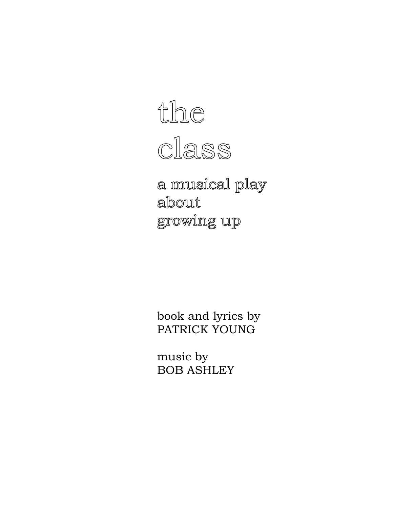

a musical play about growing up

 book and lyrics by PATRICK YOUNG

 music by BOB ASHLEY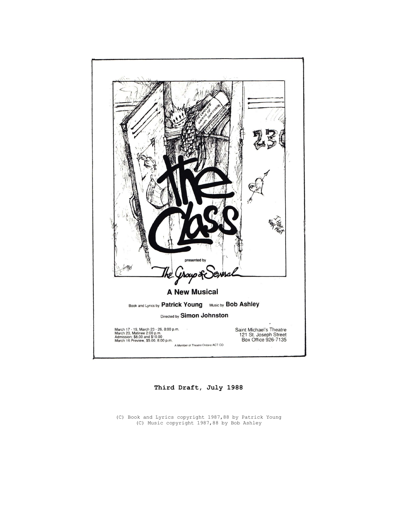

Third Draft, July 1988

(C) Book and Lyrics copyright 1987,88 by Patrick Young (C) Music copyright 1987,88 by Bob Ashley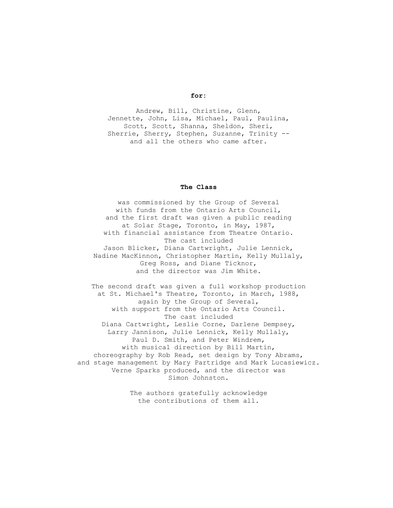#### for:

Andrew, Bill, Christine, Glenn, Jennette, John, Lisa, Michael, Paul, Paulina, Scott, Scott, Shanna, Sheldon, Sheri, Sherrie, Sherry, Stephen, Suzanne, Trinity - and all the others who came after.

## The Class

was commissioned by the Group of Several with funds from the Ontario Arts Council, and the first draft was given a public reading at Solar Stage, Toronto, in May, 1987, with financial assistance from Theatre Ontario. The cast included Jason Blicker, Diana Cartwright, Julie Lennick, Nadine MacKinnon, Christopher Martin, Kelly Mullaly, Greg Ross, and Diane Ticknor, and the director was Jim White.

The second draft was given a full workshop production at St. Michael's Theatre, Toronto, in March, 1988, again by the Group of Several, with support from the Ontario Arts Council. The cast included Diana Cartwright, Leslie Corne, Darlene Dempsey, Larry Jannison, Julie Lennick, Kelly Mullaly, Paul D. Smith, and Peter Windrem, with musical direction by Bill Martin, choreography by Rob Read, set design by Tony Abrams, and stage management by Mary Partridge and Mark Lucasiewicz. Verne Sparks produced, and the director was Simon Johnston.

> The authors gratefully acknowledge the contributions of them all.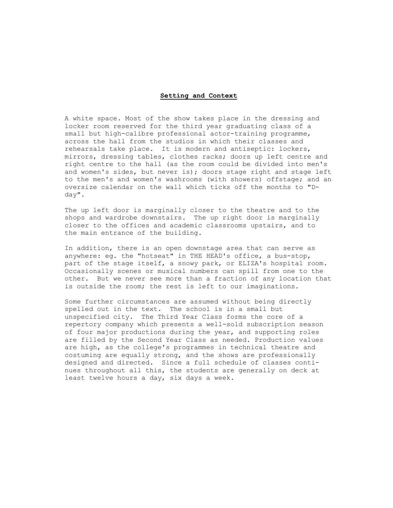#### Setting and Context

A white space. Most of the show takes place in the dressing and locker room reserved for the third year graduating class of a small but high-calibre professional actor-training programme, across the hall from the studios in which their classes and rehearsals take place. It is modern and antiseptic: lockers, mirrors, dressing tables, clothes racks; doors up left centre and right centre to the hall (as the room could be divided into men's and women's sides, but never is); doors stage right and stage left to the men's and women's washrooms (with showers) offstage; and an oversize calendar on the wall which ticks off the months to "Dday".

The up left door is marginally closer to the theatre and to the shops and wardrobe downstairs. The up right door is marginally closer to the offices and academic classrooms upstairs, and to the main entrance of the building.

In addition, there is an open downstage area that can serve as anywhere: eg. the "hotseat" in THE HEAD's office, a bus-stop, part of the stage itself, a snowy park, or ELIZA's hospital room. Occasionally scenes or musical numbers can spill from one to the other. But we never see more than a fraction of any location that is outside the room; the rest is left to our imaginations.

Some further circumstances are assumed without being directly spelled out in the text. The school is in a small but unspecified city. The Third Year Class forms the core of a repertory company which presents a well-sold subscription season of four major productions during the year, and supporting roles are filled by the Second Year Class as needed. Production values are high, as the college's programmes in technical theatre and costuming are equally strong, and the shows are professionally designed and directed. Since a full schedule of classes continues throughout all this, the students are generally on deck at least twelve hours a day, six days a week.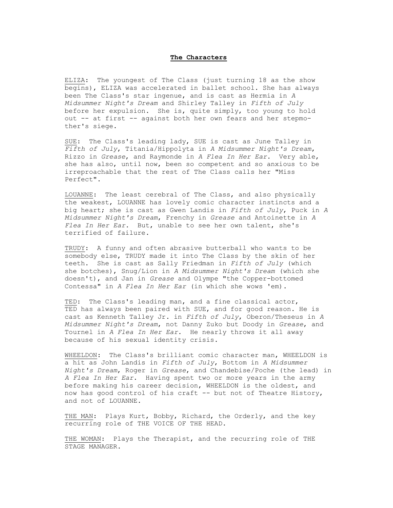#### The Characters

ELIZA: The youngest of The Class (just turning 18 as the show begins), ELIZA was accelerated in ballet school. She has always been The Class's star ingenue, and is cast as Hermia in A Midsummer Night's Dream and Shirley Talley in Fifth of July before her expulsion. She is, quite simply, too young to hold out -- at first -- against both her own fears and her stepmother's siege.

SUE: The Class's leading lady, SUE is cast as June Talley in Fifth of July, Titania/Hippolyta in A Midsummer Night's Dream, Rizzo in Grease, and Raymonde in A Flea In Her Ear. Very able, she has also, until now, been so competent and so anxious to be irreproachable that the rest of The Class calls her "Miss Perfect".

LOUANNE: The least cerebral of The Class, and also physically the weakest, LOUANNE has lovely comic character instincts and a big heart; she is cast as Gwen Landis in Fifth of July, Puck in A Midsummer Night's Dream, Frenchy in Grease and Antoinette in A Flea In Her Ear. But, unable to see her own talent, she's terrified of failure.

TRUDY: A funny and often abrasive butterball who wants to be somebody else, TRUDY made it into The Class by the skin of her teeth. She is cast as Sally Friedman in Fifth of July (which she botches), Snug/Lion in A Midsummer Night's Dream (which she doesn't), and Jan in Grease and Olympe "the Copper-bottomed Contessa" in A Flea In Her Ear (in which she wows 'em).

TED: The Class's leading man, and a fine classical actor, TED has always been paired with SUE, and for good reason. He is cast as Kenneth Talley Jr. in Fifth of July, Oberon/Theseus in A Midsummer Night's Dream, not Danny Zuko but Doody in Grease, and Tournel in A Flea In Her Ear. He nearly throws it all away because of his sexual identity crisis.

WHEELDON: The Class's brilliant comic character man, WHEELDON is a hit as John Landis in Fifth of July, Bottom in A Midsummer Night's Dream, Roger in Grease, and Chandebise/Poche (the lead) in A Flea In Her Ear. Having spent two or more years in the army before making his career decision, WHEELDON is the oldest, and now has good control of his craft -- but not of Theatre History, and not of LOUANNE.

THE MAN: Plays Kurt, Bobby, Richard, the Orderly, and the key recurring role of THE VOICE OF THE HEAD.

THE WOMAN: Plays the Therapist, and the recurring role of THE STAGE MANAGER.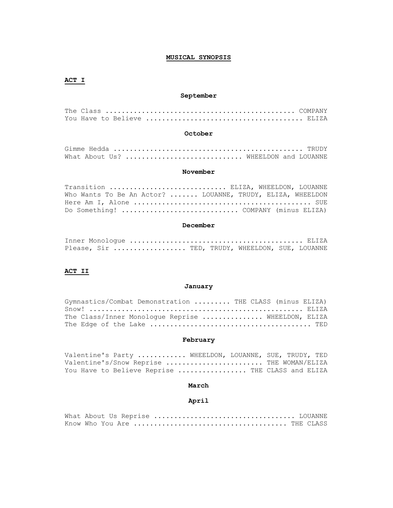# MUSICAL SYNOPSIS

# ACT I

# September

The Class ............................................... COMPANY You Have to Believe ....................................... ELIZA

#### October

| What About Us?  WHEELDON and LOUANNE |  |  |  |  |  |  |  |  |  |  |
|--------------------------------------|--|--|--|--|--|--|--|--|--|--|

#### November

| Transition  ELIZA, WHEELDON, LOUANNE                       |  |
|------------------------------------------------------------|--|
| Who Wants To Be An Actor?  LOUANNE, TRUDY, ELIZA, WHEELDON |  |
|                                                            |  |
|                                                            |  |

#### December

|  |  |  |  | Please, Sir  TED, TRUDY, WHEELDON, SUE, LOUANNE |  |
|--|--|--|--|-------------------------------------------------|--|

# ACT II

## January

| Gymnastics/Combat Demonstration  THE CLASS (minus ELIZA) |  |
|----------------------------------------------------------|--|
|                                                          |  |
| The Class/Inner Monologue Reprise  WHEELDON, ELIZA       |  |
|                                                          |  |

# February

| Valentine's Party  WHEELDON, LOUANNE, SUE, TRUDY, TED |  |
|-------------------------------------------------------|--|
| Valentine's/Snow Reprise  THE WOMAN/ELIZA             |  |
| You Have to Believe Reprise  THE CLASS and ELIZA      |  |

# March

# April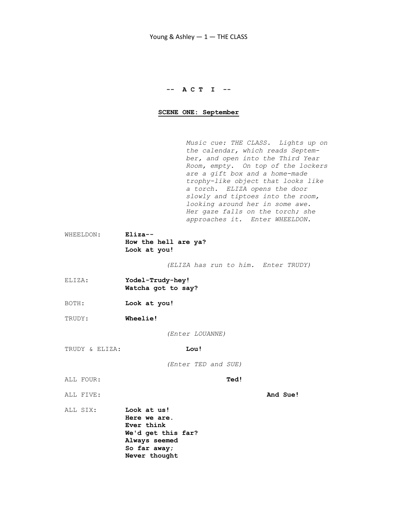# -- A C T I --

## SCENE ONE: September

 Music cue: THE CLASS. Lights up on the calendar, which reads Septem ber, and open into the Third Year Room, empty. On top of the lockers are a gift box and a home-made trophy-like object that looks like a torch. ELIZA opens the door slowly and tiptoes into the room, looking around her in some awe. Her gaze falls on the torch; she approaches it. Enter WHEELDON.

WHEELDON: Eliza-- How the hell are ya? Look at you!

(ELIZA has run to him. Enter TRUDY)

- ELIZA: Yodel-Trudy-hey! Watcha got to say?
- BOTH: Look at you!
- TRUDY: Wheelie!

(Enter LOUANNE)

TRUDY & ELIZA: Lou!

(Enter TED and SUE)

ALL FOUR: Ted!

ALL FIVE: **And Sue!** 

ALL SIX: Look at us! Here we are. Ever think We'd get this far? Always seemed So far away; Never thought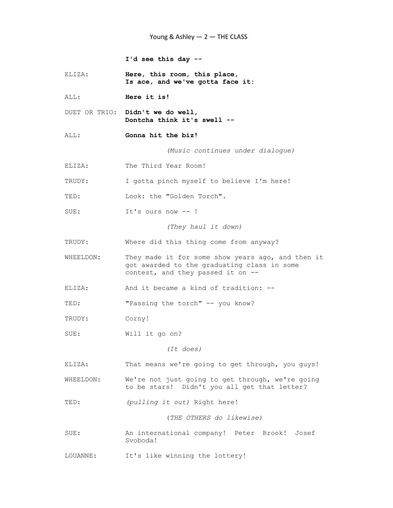I'd see this day --

ELIZA: Here, this room, this place, Is ace, and we've gotta face it:

ALL: **Here it is!** 

DUET OR TRIO: Didn't we do well, Dontcha think it's swell --

ALL: Gonna hit the biz!

(Music continues under dialogue)

ELIZA: The Third Year Room!

TRUDY: I gotta pinch myself to believe I'm here!

TED: Look: the "Golden Torch".

SUE: It's ours now -- !

(They haul it down)

TRUDY: Where did this thing come from anyway?

WHEELDON: They made it for some show years ago, and then it got awarded to the graduating class in some contest, and they passed it on --

ELIZA: And it became a kind of tradition: --

TED: "Passing the torch" -- you know?

TRUDY: Corny!

SUE: Will it go on?

(It does)

ELIZA: That means we're going to get through, you guys!

WHEELDON: We're not just going to get through, we're going to be stars! Didn't you all get that letter?

TED: (pulling it out) Right here!

(THE OTHERS do likewise)

SUE: An international company! Peter Brook! Josef Svoboda!

LOUANNE: It's like winning the lottery!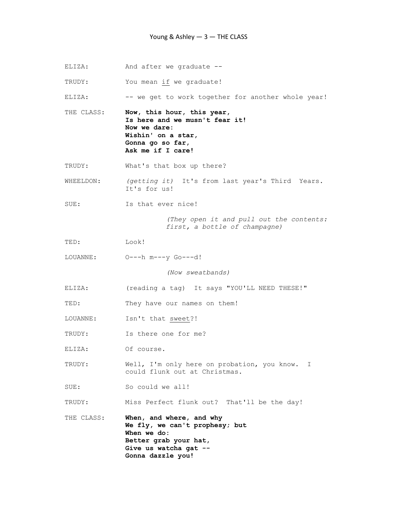ELIZA: And after we graduate --

TRUDY: You mean if we graduate!

ELIZA: -- we get to work together for another whole year!

THE CLASS: Now, this hour, this year, Is here and we musn't fear it! Now we dare: Wishin' on a star, Gonna go so far, Ask me if I care!

TRUDY: What's that box up there?

WHEELDON: (getting it) It's from last year's Third Years. It's for us!

SUE: Is that ever nice!

 (They open it and pull out the contents: first, a bottle of champagne)

TED: Look!

LOUANNE: O---h m---y Go---d!

(Now sweatbands)

ELIZA: (reading a tag) It says "YOU'LL NEED THESE!"

TED: They have our names on them!

- LOUANNE: Isn't that sweet?!
- TRUDY: Is there one for me?
- ELIZA: Of course.

TRUDY: Well, I'm only here on probation, you know. I could flunk out at Christmas.

SUE: So could we all!

TRUDY: Miss Perfect flunk out? That'll be the day!

THE CLASS: When, and where, and why We fly, we can't prophesy; but When we do: Better grab your hat, Give us watcha gat -- Gonna dazzle you!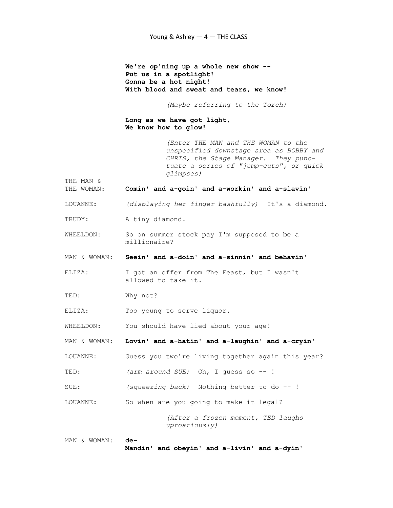We're op'ning up a whole new show -- Put us in a spotlight! Gonna be a hot night! With blood and sweat and tears, we know!

(Maybe referring to the Torch)

 Long as we have got light, We know how to glow!

> (Enter THE MAN and THE WOMAN to the unspecified downstage area as BOBBY and CHRIS, the Stage Manager. They punc tuate a series of "jump-cuts", or quick glimpses)

THE MAN &

- THE WOMAN: Comin' and a-goin' and a-workin' and a-slavin'
- LOUANNE: (displaying her finger bashfully) It's a diamond.
- TRUDY: A tiny diamond.
- WHEELDON: So on summer stock pay I'm supposed to be a millionaire?
- MAN & WOMAN: Seein' and a-doin' and a-sinnin' and behavin'
- ELIZA: I got an offer from The Feast, but I wasn't allowed to take it.
- TED: Why not?
- ELIZA: Too young to serve liquor.
- WHEELDON: You should have lied about your age!

MAN & WOMAN: Lovin' and a-hatin' and a-laughin' and a-cryin'

LOUANNE: Guess you two're living together again this year?

- TED: (arm around SUE) Oh, I guess so -- !
- SUE: (squeezing back) Nothing better to do --!
- LOUANNE: So when are you going to make it legal?

 (After a frozen moment, TED laughs uproariously)

```
MAN & WOMAN: de-
```
Mandin' and obeyin' and a-livin' and a-dyin'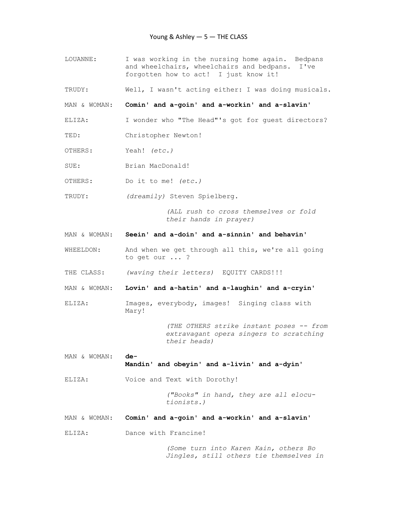- LOUANNE: I was working in the nursing home again. Bedpans and wheelchairs, wheelchairs and bedpans. I've forgotten how to act! I just know it!
- TRUDY: Well, I wasn't acting either: I was doing musicals.

MAN & WOMAN: Comin' and a-goin' and a-workin' and a-slavin'

- ELIZA: I wonder who "The Head"'s got for guest directors?
- TED: Christopher Newton!
- OTHERS: Yeah! (etc.)
- SUE: Brian MacDonald!
- OTHERS: Do it to me! (etc.)
- TRUDY: (dreamily) Steven Spielberg.

 (ALL rush to cross themselves or fold their hands in prayer)

- MAN & WOMAN: Seein' and a-doin' and a-sinnin' and behavin'
- WHEELDON: And when we get through all this, we're all going to get our ... ?
- THE CLASS: (waving their letters) EQUITY CARDS!!!

MAN & WOMAN: Lovin' and a-hatin' and a-laughin' and a-cryin'

ELIZA: Images, everybody, images! Singing class with Mary!

> (THE OTHERS strike instant poses -- from extravagant opera singers to scratching their heads)

- MAN & WOMAN: de-Mandin' and obeyin' and a-livin' and a-dyin'
- ELIZA: Voice and Text with Dorothy!

 ("Books" in hand, they are all elocu tionists.)

- MAN & WOMAN: Comin' and a-goin' and a-workin' and a-slavin'
- ELIZA: Dance with Francine!

 (Some turn into Karen Kain, others Bo Jingles, still others tie themselves in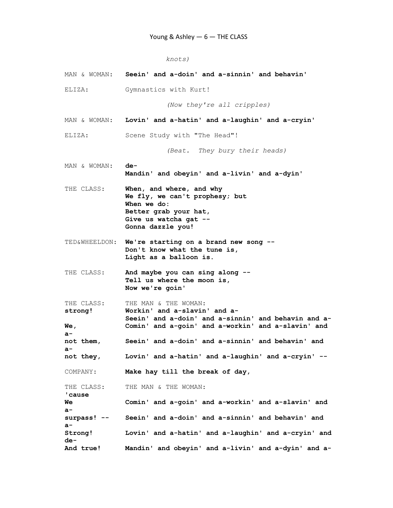```
 knots)
```

|                                    | MAN & WOMAN: Seein' and a-doin' and a-sinnin' and behavin'                                                                                                        |
|------------------------------------|-------------------------------------------------------------------------------------------------------------------------------------------------------------------|
| ELIZA:                             | Gymnastics with Kurt!                                                                                                                                             |
|                                    | (Now they're all cripples)                                                                                                                                        |
|                                    | MAN & WOMAN: Lovin' and a-hatin' and a-laughin' and a-cryin'                                                                                                      |
| ELIZA:                             | Scene Study with "The Head"!                                                                                                                                      |
|                                    | (Beat. They bury their heads)                                                                                                                                     |
| MAN & WOMAN:                       | de-<br>Mandin' and obeyin' and a-livin' and a-dyin'                                                                                                               |
| THE CLASS:                         | When, and where, and why<br>We fly, we can't prophesy; but<br>When we do:<br>Better grab your hat,<br>Give us watcha gat --<br>Gonna dazzle you!                  |
|                                    | TED&WHEELDON: We're starting on a brand new song --<br>Don't know what the tune is,<br>Light as a balloon is.                                                     |
| THE CLASS:                         | And maybe you can sing along --<br>Tell us where the moon is,<br>Now we're goin'                                                                                  |
| THE CLASS:<br>strong!<br>We,<br>a- | THE MAN & THE WOMAN:<br>Workin' and a-slavin' and a-<br>Seein' and a-doin' and a-sinnin' and behavin and a-<br>Comin' and a-goin' and a-workin' and a-slavin' and |
| not them,<br>a-                    | Seein' and a-doin' and a-sinnin' and behavin' and                                                                                                                 |
| not they,                          | Lovin' and a-hatin' and a-laughin' and a-cryin' --                                                                                                                |
| COMPANY:                           | Make hay till the break of day,                                                                                                                                   |
| THE CLASS:<br>'cause               | THE MAN & THE WOMAN:                                                                                                                                              |
| Wе<br>a-                           | Comin' and a-goin' and a-workin' and a-slavin' and                                                                                                                |
| surpass! --<br>a-                  | Seein' and a-doin' and a-sinnin' and behavin' and                                                                                                                 |
| Strong!<br>de-                     | Lovin' and a-hatin' and a-laughin' and a-cryin' and                                                                                                               |
| And true!                          | Mandin' and obeyin' and a-livin' and a-dyin' and a-                                                                                                               |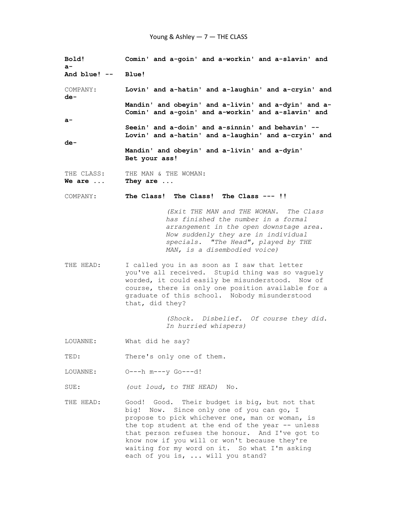| Bold!<br>$a-$                | Comin' and a-goin' and a-workin' and a-slavin' and                                                                                                                                                                                                                                                                                                                                         |  |  |  |  |  |  |  |
|------------------------------|--------------------------------------------------------------------------------------------------------------------------------------------------------------------------------------------------------------------------------------------------------------------------------------------------------------------------------------------------------------------------------------------|--|--|--|--|--|--|--|
| And blue! -- Blue!           |                                                                                                                                                                                                                                                                                                                                                                                            |  |  |  |  |  |  |  |
| COMPANY:<br>de-              | Lovin' and a-hatin' and a-laughin' and a-cryin' and                                                                                                                                                                                                                                                                                                                                        |  |  |  |  |  |  |  |
|                              | Mandin' and obeyin' and a-livin' and a-dyin' and a-<br>Comin' and a-goin' and a-workin' and a-slavin' and                                                                                                                                                                                                                                                                                  |  |  |  |  |  |  |  |
| $a-$                         | Seein' and a-doin' and a-sinnin' and behavin' --                                                                                                                                                                                                                                                                                                                                           |  |  |  |  |  |  |  |
| de-                          | Lovin' and a-hatin' and a-laughin' and a-cryin' and                                                                                                                                                                                                                                                                                                                                        |  |  |  |  |  |  |  |
|                              | Mandin' and obeyin' and a-livin' and a-dyin'<br>Bet your ass!                                                                                                                                                                                                                                                                                                                              |  |  |  |  |  |  |  |
| THE CLASS:<br>We are $\dots$ | THE MAN & THE WOMAN:<br>They are                                                                                                                                                                                                                                                                                                                                                           |  |  |  |  |  |  |  |
| COMPANY:                     | The Class! The Class! The Class --- !!                                                                                                                                                                                                                                                                                                                                                     |  |  |  |  |  |  |  |
|                              | (Exit THE MAN and THE WOMAN. The Class<br>has finished the number in a formal<br>arrangement in the open downstage area.<br>Now suddenly they are in individual<br>specials. "The Head", played by THE<br>MAN, is a disembodied voice)                                                                                                                                                     |  |  |  |  |  |  |  |
| THE HEAD:                    | I called you in as soon as I saw that letter<br>you've all received. Stupid thing was so vaguely<br>worded, it could easily be misunderstood. Now of<br>course, there is only one position available for a<br>graduate of this school. Nobody misunderstood<br>that, did they?                                                                                                             |  |  |  |  |  |  |  |
|                              | (Shock. Disbelief. Of course they did.<br>In hurried whispers)                                                                                                                                                                                                                                                                                                                             |  |  |  |  |  |  |  |
| LOUANNE:                     | What did he say?                                                                                                                                                                                                                                                                                                                                                                           |  |  |  |  |  |  |  |
| TED:                         | There's only one of them.                                                                                                                                                                                                                                                                                                                                                                  |  |  |  |  |  |  |  |
| LOUANNE:                     | 0---h m---y Go---d!                                                                                                                                                                                                                                                                                                                                                                        |  |  |  |  |  |  |  |
| SUE:                         | (out loud, to THE HEAD) No.                                                                                                                                                                                                                                                                                                                                                                |  |  |  |  |  |  |  |
| THE HEAD:                    | Good! Good. Their budget is big, but not that<br>big! Now. Since only one of you can go, I<br>propose to pick whichever one, man or woman, is<br>the top student at the end of the year -- unless<br>that person refuses the honour. And I've got to<br>know now if you will or won't because they're<br>waiting for my word on it. So what I'm asking<br>each of you is,  will you stand? |  |  |  |  |  |  |  |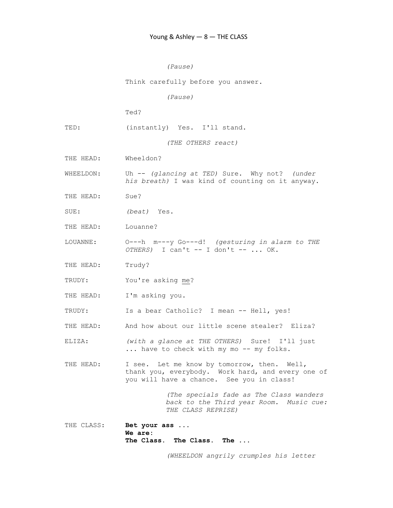```
 (Pause) 
              Think carefully before you answer. 
                        (Pause) 
              Ted? 
TED: (instantly) Yes. I'll stand.
                        (THE OTHERS react) 
THE HEAD: Wheeldon? 
WHEELDON: Uh -- (glancing at TED) Sure. Why not? (under
              his breath) I was kind of counting on it anyway. 
THE HEAD: Sue? 
SUE: (beat) Yes.
THE HEAD: Louanne?
```
LOUANNE: O---h m---y Go---d! (gesturing in alarm to THE  $OTHERS$ ) I can't  $--$  I don't  $--$  ... OK.

THE HEAD: Trudy?

TRUDY: You're asking me?

THE HEAD: I'm asking you.

TRUDY: Is a bear Catholic? I mean -- Hell, yes!

THE HEAD: And how about our little scene stealer? Eliza?

ELIZA: (with a glance at THE OTHERS) Sure! I'll just ... have to check with my mo -- my folks.

THE HEAD: I see. Let me know by tomorrow, then. Well, thank you, everybody. Work hard, and every one of you will have a chance. See you in class!

> (The specials fade as The Class wanders back to the Third year Room. Music cue: THE CLASS REPRISE)

THE CLASS: Bet your ass ... We are: The Class. The Class. The ...

(WHEELDON angrily crumples his letter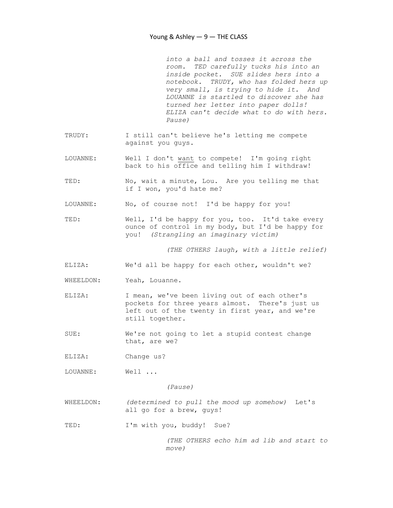into a ball and tosses it across the room. TED carefully tucks his into an inside pocket. SUE slides hers into a notebook. TRUDY, who has folded hers up very small, is trying to hide it. And LOUANNE is startled to discover she has turned her letter into paper dolls! ELIZA can't decide what to do with hers. Pause)

- TRUDY: I still can't believe he's letting me compete against you guys.
- LOUANNE: Well I don't want to compete! I'm going right back to his office and telling him I withdraw!
- TED: No, wait a minute, Lou. Are you telling me that if I won, you'd hate me?
- LOUANNE: No, of course not! I'd be happy for you!
- TED: Well, I'd be happy for you, too. It'd take every ounce of control in my body, but I'd be happy for you! (Strangling an imaginary victim)

(THE OTHERS laugh, with a little relief)

- ELIZA: We'd all be happy for each other, wouldn't we?
- WHEELDON: Yeah, Louanne.
- ELIZA: I mean, we've been living out of each other's pockets for three years almost. There's just us left out of the twenty in first year, and we're still together.
- SUE: We're not going to let a stupid contest change that, are we?
- ELIZA: Change us?

LOUANNE: Well ...

(Pause)

- WHEELDON: (determined to pull the mood up somehow) Let's all go for a brew, guys!
- TED: I'm with you, buddy! Sue?

 (THE OTHERS echo him ad lib and start to move)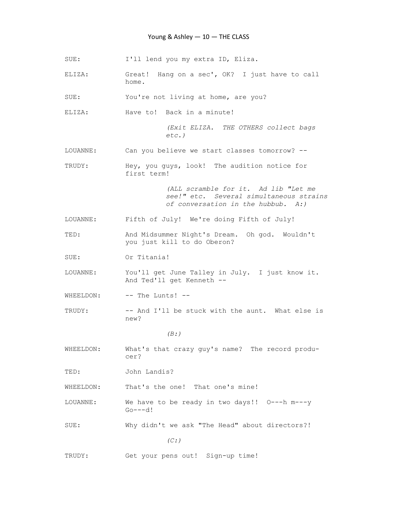## Young & Ashley - 10 - THE CLASS

SUE: I'll lend you my extra ID, Eliza.

ELIZA: Great! Hang on a sec', OK? I just have to call home.

SUE: You're not living at home, are you?

ELIZA: Have to! Back in a minute!

 (Exit ELIZA. THE OTHERS collect bags etc.)

- LOUANNE: Can you believe we start classes tomorrow? --
- TRUDY: Hey, you guys, look! The audition notice for first term!

 (ALL scramble for it. Ad lib "Let me see!" etc. Several simultaneous strains of conversation in the hubbub. A:)

LOUANNE: Fifth of July! We're doing Fifth of July!

TED: And Midsummer Night's Dream. Oh god. Wouldn't you just kill to do Oberon?

SUE: Or Titania!

- LOUANNE: You'll get June Talley in July. I just know it. And Ted'll get Kenneth --
- WHEELDON: -- The Lunts! --
- TRUDY: -- And I'll be stuck with the aunt. What else is new?

#### $(B: )$

WHEELDON: What's that crazy guy's name? The record produ cer?

TED: John Landis?

WHEELDON: That's the one! That one's mine!

LOUANNE: We have to be ready in two days!! O---h m---y  $Go---d!$ 

SUE: Why didn't we ask "The Head" about directors?!

 $(C: )$ 

TRUDY: Get your pens out! Sign-up time!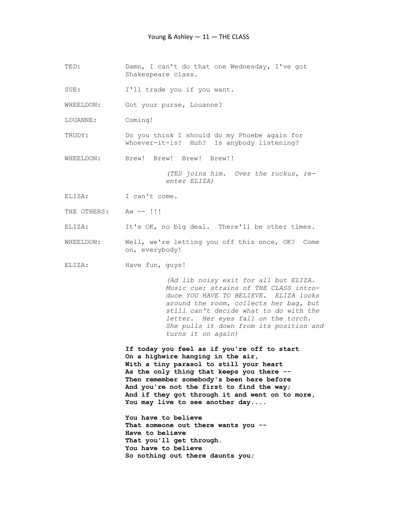TED: Damn, I can't do that one Wednesday, I've got Shakespeare class.

SUE: I'll trade you if you want.

WHEELDON: Got your purse, Louanne?

LOUANNE: Coming!

TRUDY: Do you think I should do my Phoebe again for whoever-it-is? Huh? Is anybody listening?

WHEELDON: Brew! Brew! Brew!!

 (TED joins him. Over the ruckus, re enter ELIZA)

ELIZA: I can't come.

THE OTHERS: Aw -- !!!

ELIZA: It's OK, no big deal. There'll be other times.

WHEELDON: Well, we're letting you off this once, OK? Come on, everybody!

ELIZA: Have fun, guys!

 (Ad lib noisy exit for all but ELIZA. Music cue: strains of THE CLASS intro duce YOU HAVE TO BELIEVE. ELIZA looks around the room, collects her bag, but still can't decide what to do with the letter. Her eyes fall on the torch. She pulls it down from its position and turns it on again)

 If today you feel as if you're off to start On a highwire hanging in the air, With a tiny parasol to still your heart As the only thing that keeps you there -- Then remember somebody's been here before And you're not the first to find the way; And if they got through it and went on to more, You may live to see another day....

 You have to believe That someone out there wants you -- Have to believe That you'll get through. You have to believe So nothing out there daunts you;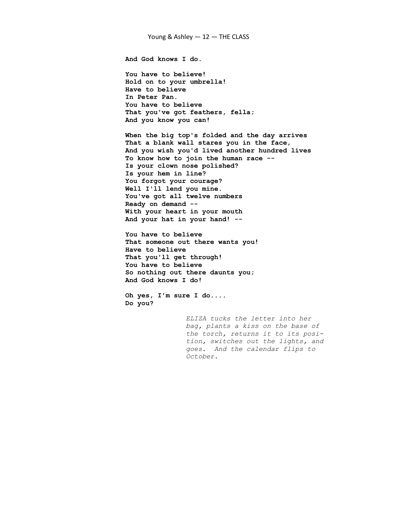And God knows I do.

 You have to believe! Hold on to your umbrella! Have to believe In Peter Pan. You have to believe That you've got feathers, fella; And you know you can!

 When the big top's folded and the day arrives That a blank wall stares you in the face, And you wish you'd lived another hundred lives To know how to join the human race -- Is your clown nose polished? Is your hem in line? You forgot your courage? Well I'll lend you mine. You've got all twelve numbers Ready on demand -- With your heart in your mouth And your hat in your hand! --

 You have to believe That someone out there wants you! Have to believe That you'll get through! You have to believe So nothing out there daunts you; And God knows I do!

 Oh yes, I'm sure I do.... Do you?

> ELIZA tucks the letter into her bag, plants a kiss on the base of the torch, returns it to its posi tion, switches out the lights, and goes. And the calendar flips to October.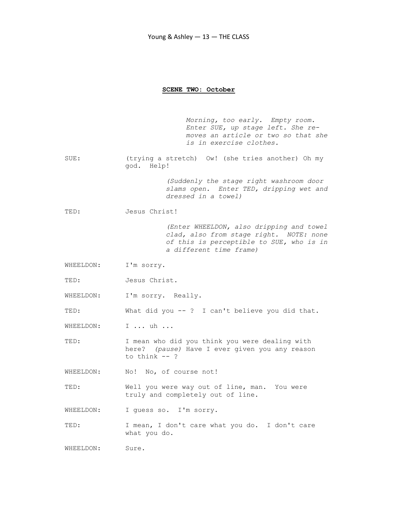#### SCENE TWO: October

 Morning, too early. Empty room. Enter SUE, up stage left. She re moves an article or two so that she is in exercise clothes.

SUE: (trying a stretch) Ow! (she tries another) Oh my god. Help!

> (Suddenly the stage right washroom door slams open. Enter TED, dripping wet and dressed in a towel)

TED: Jesus Christ!

 (Enter WHEELDON, also dripping and towel clad, also from stage right. NOTE: none of this is perceptible to SUE, who is in a different time frame)

- WHEELDON: I'm sorry.
- TED: **Jesus Christ.**
- WHEELDON: I'm sorry. Really.

TED: What did you -- ? I can't believe you did that.

WHEELDON: I ... uh ...

TED: I mean who did you think you were dealing with here? (pause) Have I ever given you any reason to think -- ?

WHEELDON: No! No, of course not!

TED: Well you were way out of line, man. You were truly and completely out of line.

WHEELDON: I quess so. I'm sorry.

TED: I mean, I don't care what you do. I don't care what you do.

WHEELDON: Sure.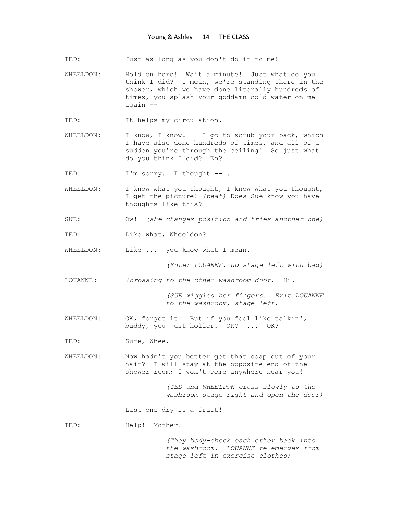TED: Just as long as you don't do it to me!

- WHEELDON: Hold on here! Wait a minute! Just what do you think I did? I mean, we're standing there in the shower, which we have done literally hundreds of times, you splash your goddamn cold water on me again --
- TED: It helps my circulation.
- WHEELDON: I know, I know. -- I go to scrub your back, which I have also done hundreds of times, and all of a sudden you're through the ceiling! So just what do you think I did? Eh?

TED: I'm sorry. I thought -- .

- WHEELDON: I know what you thought, I know what you thought, I get the picture! (beat) Does Sue know you have thoughts like this?
- SUE: Ow! (she changes position and tries another one)
- TED: Like what, Wheeldon?
- WHEELDON: Like ... you know what I mean.

(Enter LOUANNE, up stage left with bag)

LOUANNE: (crossing to the other washroom door) Hi.

 (SUE wiggles her fingers. Exit LOUANNE to the washroom, stage left)

WHEELDON: OK, forget it. But if you feel like talkin', buddy, you just holler. OK? ... OK?

TED: Sure, Whee.

WHEELDON: Now hadn't you better get that soap out of your hair? I will stay at the opposite end of the shower room; I won't come anywhere near you!

> (TED and WHEELDON cross slowly to the washroom stage right and open the door)

Last one dry is a fruit!

TED: Help! Mother!

 (They body-check each other back into the washroom. LOUANNE re-emerges from stage left in exercise clothes)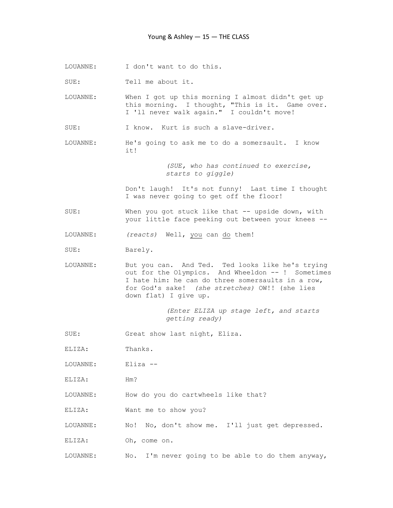LOUANNE: I don't want to do this.

SUE: Tell me about it.

LOUANNE: When I got up this morning I almost didn't get up this morning. I thought, "This is it. Game over. I 'll never walk again." I couldn't move!

SUE: I know. Kurt is such a slave-driver.

LOUANNE: He's going to ask me to do a somersault. I know it!

> (SUE, who has continued to exercise, starts to giggle)

 Don't laugh! It's not funny! Last time I thought I was never going to get off the floor!

SUE: When you got stuck like that -- upside down, with your little face peeking out between your knees --

LOUANNE: (reacts) Well, you can do them!

SUE: Barely.

LOUANNE: But you can. And Ted. Ted looks like he's trying out for the Olympics. And Wheeldon -- ! Sometimes I hate him: he can do three somersaults in a row, for God's sake! (she stretches) OW!! (she lies down flat) I give up.

> (Enter ELIZA up stage left, and starts getting ready)

SUE: Great show last night, Eliza.

ELIZA: Thanks.

LOUANNE: Eliza --

ELIZA: Hm?

LOUANNE: How do you do cartwheels like that?

ELIZA: Want me to show you?

LOUANNE: No! No, don't show me. I'll just get depressed.

ELIZA: Oh, come on.

LOUANNE: No. I'm never going to be able to do them anyway,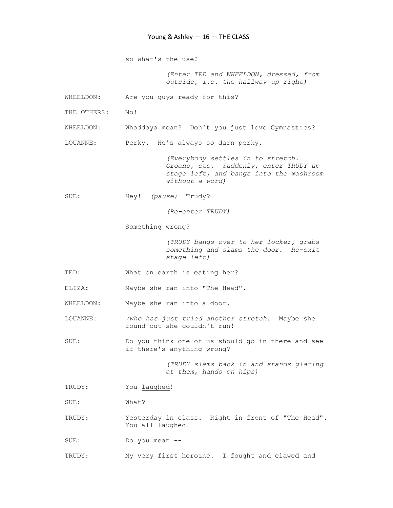so what's the use?

 (Enter TED and WHEELDON, dressed, from outside, i.e. the hallway up right)

WHEELDON: Are you guys ready for this?

THE OTHERS: No!

WHEELDON: Whaddaya mean? Don't you just love Gymnastics?

LOUANNE: Perky. He's always so darn perky.

 (Everybody settles in to stretch. Groans, etc. Suddenly, enter TRUDY up stage left, and bangs into the washroom without a word)

SUE: Hey! (pause) Trudy?

(Re-enter TRUDY)

Something wrong?

 (TRUDY bangs over to her locker, grabs something and slams the door. Re-exit stage left)

- TED: What on earth is eating her?
- ELIZA: Maybe she ran into "The Head".

WHEELDON: Maybe she ran into a door.

LOUANNE: (who has just tried another stretch) Maybe she found out she couldn't run!

SUE: Do you think one of us should go in there and see if there's anything wrong?

> (TRUDY slams back in and stands glaring at them, hands on hips)

TRUDY: You laughed!

SUE: What?

TRUDY: Yesterday in class. Right in front of "The Head". You all laughed!

SUE: Do you mean --

TRUDY: My very first heroine. I fought and clawed and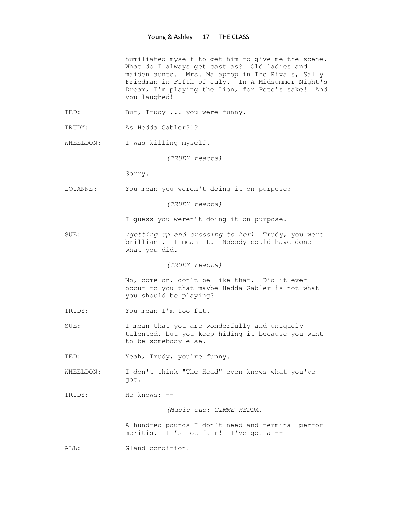humiliated myself to get him to give me the scene. What do I always get cast as? Old ladies and maiden aunts. Mrs. Malaprop in The Rivals, Sally Friedman in Fifth of July. In A Midsummer Night's Dream, I'm playing the Lion, for Pete's sake! And you laughed!

- TED: But, Trudy ... you were funny.
- TRUDY: As Hedda Gabler?!?

WHEELDON: I was killing myself.

(TRUDY reacts)

Sorry.

LOUANNE: You mean you weren't doing it on purpose?

(TRUDY reacts)

I guess you weren't doing it on purpose.

SUE: (getting up and crossing to her) Trudy, you were brilliant. I mean it. Nobody could have done what you did.

(TRUDY reacts)

 No, come on, don't be like that. Did it ever occur to you that maybe Hedda Gabler is not what you should be playing?

- TRUDY: You mean I'm too fat.
- SUE: I mean that you are wonderfully and uniquely talented, but you keep hiding it because you want to be somebody else.

TED: Yeah, Trudy, you're funny.

WHEELDON: I don't think "The Head" even knows what you've got.

TRUDY: He knows: --

(Music cue: GIMME HEDDA)

 A hundred pounds I don't need and terminal perfor meritis. It's not fair! I've got a --

ALL: Gland condition!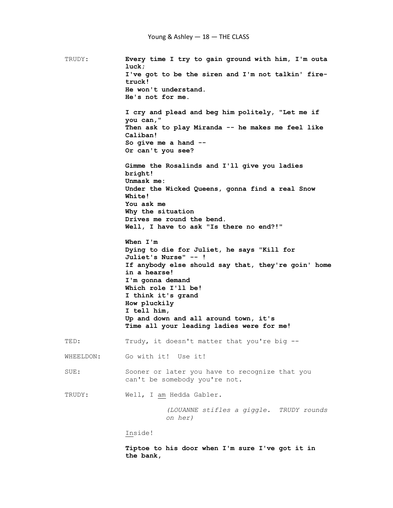TRUDY: Every time I try to gain ground with him, I'm outa luck; I've got to be the siren and I'm not talkin' fire truck! He won't understand. He's not for me. I cry and plead and beg him politely, "Let me if you can," Then ask to play Miranda -- he makes me feel like Caliban! So give me a hand -- Or can't you see? Gimme the Rosalinds and I'll give you ladies bright! Unmask me: Under the Wicked Queens, gonna find a real Snow White! You ask me Why the situation Drives me round the bend. Well, I have to ask "Is there no end?!" When I'm Dying to die for Juliet, he says "Kill for Juliet's Nurse" -- ! If anybody else should say that, they're goin' home in a hearse! I'm gonna demand Which role I'll be! I think it's grand How pluckily I tell him, Up and down and all around town, it's Time all your leading ladies were for me! TED: Trudy, it doesn't matter that you're big -- WHEELDON: Go with it! Use it! SUE: Sooner or later you have to recognize that you can't be somebody you're not. TRUDY: Well, I am Hedda Gabler. (LOUANNE stifles a giggle. TRUDY rounds on her) Inside!

 Tiptoe to his door when I'm sure I've got it in the bank,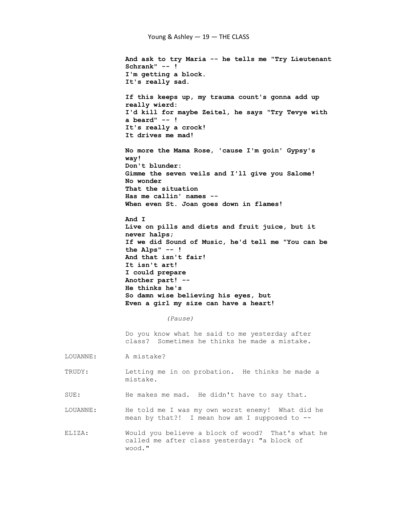And ask to try Maria -- he tells me "Try Lieutenant Schrank" -- ! I'm getting a block. It's really sad. If this keeps up, my trauma count's gonna add up really wierd: I'd kill for maybe Zeitel, he says "Try Tevye with a beard" -- ! It's really a crock! It drives me mad! No more the Mama Rose, 'cause I'm goin' Gypsy's way! Don't blunder: Gimme the seven veils and I'll give you Salome! No wonder That the situation Has me callin' names -- When even St. Joan goes down in flames! And I Live on pills and diets and fruit juice, but it never halps; If we did Sound of Music, he'd tell me "You can be the Alps" -- ! And that isn't fair! It isn't art! I could prepare Another part! -- He thinks he's So damn wise believing his eyes, but Even a girl my size can have a heart! (Pause) Do you know what he said to me yesterday after class? Sometimes he thinks he made a mistake. LOUANNE: A mistake? TRUDY: Letting me in on probation. He thinks he made a mistake. SUE: He makes me mad. He didn't have to say that. LOUANNE: He told me I was my own worst enemy! What did he mean by that?! I mean how am I supposed to -- ELIZA: Would you believe a block of wood? That's what he called me after class yesterday: "a block of wood."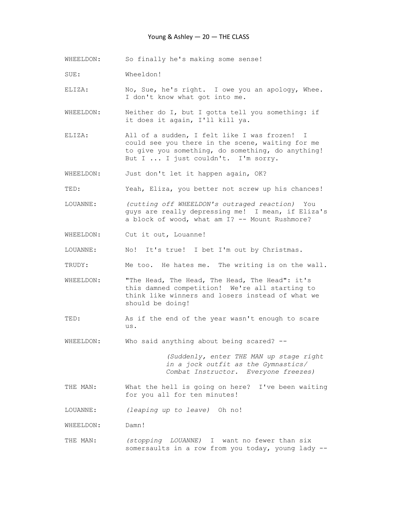# Young & Ashley — 20 — THE CLASS

- WHEELDON: So finally he's making some sense!
- SUE: Wheeldon!

ELIZA: No, Sue, he's right. I owe you an apology, Whee. I don't know what got into me.

- WHEELDON: Neither do I, but I gotta tell you something: if it does it again, I'll kill ya.
- ELIZA: All of a sudden, I felt like I was frozen! I could see you there in the scene, waiting for me to give you something, do something, do anything! But I ... I just couldn't. I'm sorry.

WHEELDON: Just don't let it happen again, OK?

- TED: Yeah, Eliza, you better not screw up his chances!
- LOUANNE: (cutting off WHEELDON's outraged reaction) You guys are really depressing me! I mean, if Eliza's a block of wood, what am I? -- Mount Rushmore?
- WHEELDON: Cut it out, Louanne!
- LOUANNE: No! It's true! I bet I'm out by Christmas.
- TRUDY: Me too. He hates me. The writing is on the wall.
- WHEELDON: "The Head, The Head, The Head, The Head": it's this damned competition! We're all starting to think like winners and losers instead of what we should be doing!
- TED: As if the end of the year wasn't enough to scare us.

WHEELDON: Who said anything about being scared? --

 (Suddenly, enter THE MAN up stage right in a jock outfit as the Gymnastics/ Combat Instructor. Everyone freezes)

- THE MAN: What the hell is going on here? I've been waiting for you all for ten minutes!
- LOUANNE: (leaping up to leave) Oh no!
- WHEELDON: Damn!
- THE MAN: (stopping LOUANNE) I want no fewer than six somersaults in a row from you today, young lady --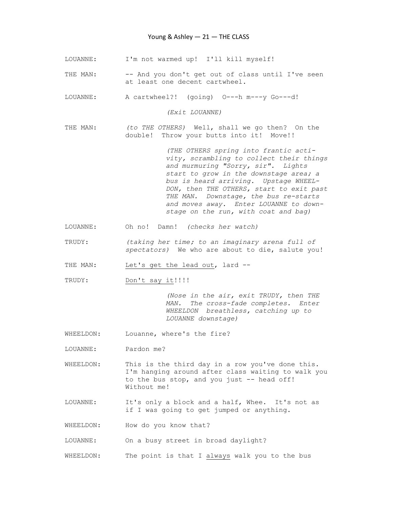- LOUANNE: I'm not warmed up! I'll kill myself!
- THE MAN: -- And you don't get out of class until I've seen at least one decent cartwheel.
- LOUANNE: A cartwheel?! (going) O---h m---y Go---d!

(Exit LOUANNE)

THE MAN: (to THE OTHERS) Well, shall we go then? On the double! Throw your butts into it! Move!!

> (THE OTHERS spring into frantic acti vity, scrambling to collect their things and murmuring "Sorry, sir". Lights start to grow in the downstage area; a bus is heard arriving. Upstage WHEEL- DON, then THE OTHERS, start to exit past THE MAN. Downstage, the bus re-starts and moves away. Enter LOUANNE to down stage on the run, with coat and bag)

- LOUANNE: Oh no! Damn! (checks her watch)
- TRUDY: (taking her time; to an imaginary arena full of spectators) We who are about to die, salute you!
- THE MAN: Let's get the lead out, lard --
- TRUDY: Don't say it!!!!

 (Nose in the air, exit TRUDY, then THE MAN. The cross-fade completes. Enter WHEELDON breathless, catching up to LOUANNE downstage)

- WHEELDON: Louanne, where's the fire?
- LOUANNE: Pardon me?
- WHEELDON: This is the third day in a row you've done this. I'm hanging around after class waiting to walk you to the bus stop, and you just -- head off! Without me!
- LOUANNE: It's only a block and a half, Whee. It's not as if I was going to get jumped or anything.
- WHEELDON: How do you know that?

LOUANNE: On a busy street in broad daylight?

WHEELDON: The point is that I always walk you to the bus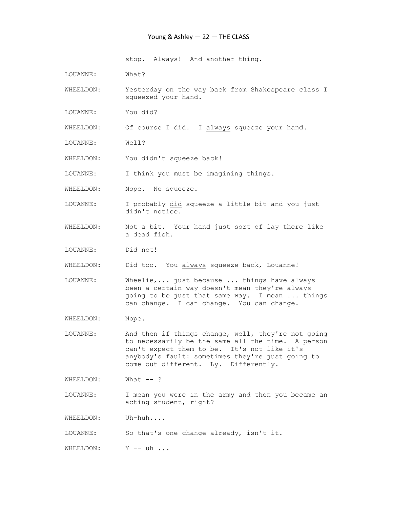### Young & Ashley — 22 — THE CLASS

stop. Always! And another thing.

LOUANNE: What?

WHEELDON: Yesterday on the way back from Shakespeare class I squeezed your hand.

LOUANNE: You did?

WHEELDON: Of course I did. I always squeeze your hand.

LOUANNE: Well?

WHEELDON: You didn't squeeze back!

LOUANNE: I think you must be imagining things.

WHEELDON: Nope. No squeeze.

LOUANNE: I probably did squeeze a little bit and you just didn't notice.

- WHEELDON: Not a bit. Your hand just sort of lay there like a dead fish.
- LOUANNE: Did not!

WHEELDON: Did too. You always squeeze back, Louanne!

- LOUANNE: Wheelie,... just because ... things have always been a certain way doesn't mean they're always going to be just that same way. I mean ... things can change. I can change. You can change.
- WHEELDON: Nope.
- LOUANNE: And then if things change, well, they're not going to necessarily be the same all the time. A person can't expect them to be. It's not like it's anybody's fault: sometimes they're just going to come out different. Ly. Differently.

WHEELDON: What --?

LOUANNE: I mean you were in the army and then you became an acting student, right?

WHEELDON: Uh-huh....

LOUANNE: So that's one change already, isn't it.

WHEELDON: Y -- uh ...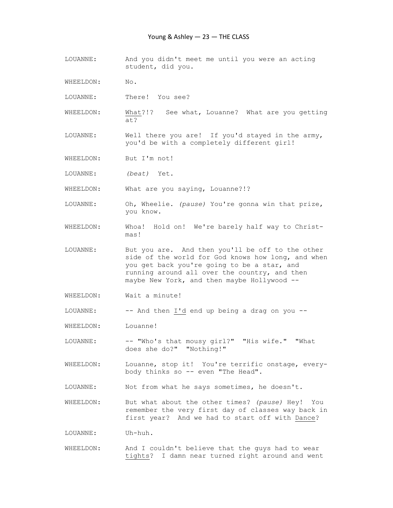- LOUANNE: And you didn't meet me until you were an acting student, did you.
- WHEELDON: No.
- LOUANNE: There! You see?
- WHEELDON: What?!? See what, Louanne? What are you getting at?
- LOUANNE: Well there you are! If you'd stayed in the army, you'd be with a completely different girl!
- WHEELDON: But I'm not!
- LOUANNE: (beat) Yet.
- WHEELDON: What are you saying, Louanne?!?
- LOUANNE: Oh, Wheelie. (pause) You're gonna win that prize, you know.
- WHEELDON: Whoa! Hold on! We're barely half way to Christ mas!
- LOUANNE: But you are. And then you'll be off to the other side of the world for God knows how long, and when you get back you're going to be a star, and running around all over the country, and then maybe New York, and then maybe Hollywood --
- WHEELDON: Wait a minute!
- LOUANNE: -- And then I'd end up being a drag on you --

WHEELDON: Louanne!

- LOUANNE: -- "Who's that mousy girl?" "His wife." "What does she do?" "Nothing!"
- WHEELDON: Louanne, stop it! You're terrific onstage, every body thinks so -- even "The Head".
- LOUANNE: Not from what he says sometimes, he doesn't.
- WHEELDON: But what about the other times? (pause) Hey! You remember the very first day of classes way back in first year? And we had to start off with Dance?

LOUANNE: Uh-huh.

WHEELDON: And I couldn't believe that the guys had to wear tights? I damn near turned right around and went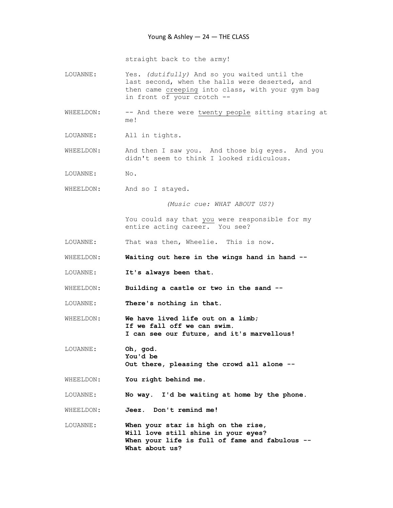straight back to the army!

- LOUANNE: Yes. (dutifully) And so you waited until the last second, when the halls were deserted, and then came creeping into class, with your gym bag in front of your crotch --
- WHEELDON: -- And there were twenty people sitting staring at me!
- LOUANNE: All in tights.
- WHEELDON: And then I saw you. And those big eyes. And you didn't seem to think I looked ridiculous.
- LOUANNE: No.
- WHEELDON: And so I stayed.

(Music cue: WHAT ABOUT US?)

 You could say that you were responsible for my entire acting career. You see?

- LOUANNE: That was then, Wheelie. This is now.
- WHEELDON: Waiting out here in the wings hand in hand --
- LOUANNE: It's always been that.
- WHEELDON: Building a castle or two in the sand --
- LOUANNE: There's nothing in that.
- WHEELDON: We have lived life out on a limb; If we fall off we can swim. I can see our future, and it's marvellous!
- LOUANNE: Oh, god. You'd be Out there, pleasing the crowd all alone --
- WHEELDON: You right behind me.
- LOUANNE: No way. I'd be waiting at home by the phone.

WHEELDON: Jeez. Don't remind me!

LOUANNE: When your star is high on the rise, Will love still shine in your eyes? When your life is full of fame and fabulous --What about us?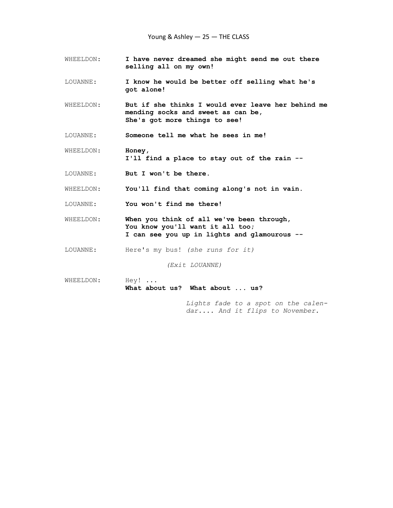- WHEELDON: I have never dreamed she might send me out there selling all on my own!
- LOUANNE: I know he would be better off selling what he's got alone!
- WHEELDON: But if she thinks I would ever leave her behind me mending socks and sweet as can be, She's got more things to see!
- LOUANNE: Someone tell me what he sees in me!
- WHEELDON: Honey, I'll find a place to stay out of the rain --
- LOUANNE: But I won't be there.
- WHEELDON: You'll find that coming along's not in vain.
- LOUANNE: You won't find me there!
- WHEELDON: When you think of all we've been through, You know you'll want it all too; I can see you up in lights and glamourous --
- LOUANNE: Here's my bus! (she runs for it)

(Exit LOUANNE)

WHEELDON: Hey! ... What about us? What about ... us?

> Lights fade to a spot on the calen dar.... And it flips to November.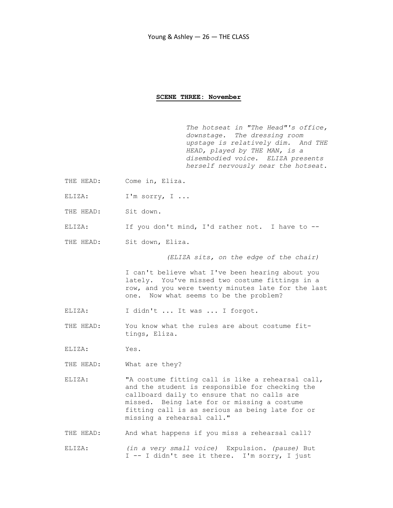#### SCENE THREE: November

The hotseat in "The Head"'s office, downstage. The dressing room upstage is relatively dim. And THE HEAD, played by THE MAN, is a disembodied voice. ELIZA presents herself nervously near the hotseat.

- THE HEAD: Come in, Eliza.
- ELIZA: I'm sorry, I ...
- THE HEAD: Sit down.
- ELIZA: If you don't mind, I'd rather not. I have to --
- THE HEAD: Sit down, Eliza.

(ELIZA sits, on the edge of the chair)

 I can't believe what I've been hearing about you lately. You've missed two costume fittings in a row, and you were twenty minutes late for the last one. Now what seems to be the problem?

- ELIZA: I didn't ... It was ... I forgot.
- THE HEAD: You know what the rules are about costume fit tings, Eliza.
- ELIZA: Yes.
- THE HEAD: What are they?
- ELIZA: "A costume fitting call is like a rehearsal call, and the student is responsible for checking the callboard daily to ensure that no calls are missed. Being late for or missing a costume fitting call is as serious as being late for or missing a rehearsal call."
- THE HEAD: And what happens if you miss a rehearsal call?
- ELIZA: (in a very small voice) Expulsion. (pause) But I -- I didn't see it there. I'm sorry, I just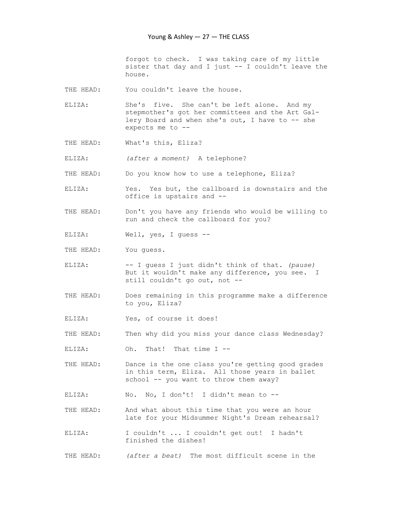forgot to check. I was taking care of my little sister that day and I just -- I couldn't leave the house.

- THE HEAD: You couldn't leave the house.
- ELIZA: She's five. She can't be left alone. And my stepmother's got her committees and the Art Gal lery Board and when she's out, I have to -- she expects me to --
- THE HEAD: What's this, Eliza?
- ELIZA: (after a moment) A telephone?
- THE HEAD: Do you know how to use a telephone, Eliza?
- ELIZA: Yes. Yes but, the callboard is downstairs and the office is upstairs and --
- THE HEAD: Don't you have any friends who would be willing to run and check the callboard for you?
- ELIZA: Well, yes, I guess --
- THE HEAD: You quess.
- ELIZA: -- I guess I just didn't think of that. (pause) But it wouldn't make any difference, you see. I still couldn't go out, not --
- THE HEAD: Does remaining in this programme make a difference to you, Eliza?
- ELIZA: Yes, of course it does!
- THE HEAD: Then why did you miss your dance class Wednesday?
- ELIZA: Oh. That! That time I --
- THE HEAD: Dance is the one class you're getting good grades in this term, Eliza. All those years in ballet school -- you want to throw them away?

ELIZA: No. No, I don't! I didn't mean to --

- THE HEAD: And what about this time that you were an hour late for your Midsummer Night's Dream rehearsal?
- ELIZA: I couldn't ... I couldn't get out! I hadn't finished the dishes!
- THE HEAD: (after a beat) The most difficult scene in the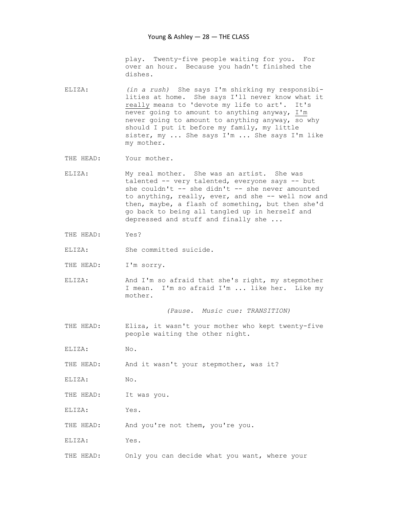play. Twenty-five people waiting for you. For over an hour. Because you hadn't finished the dishes.

- ELIZA: (in a rush) She says I'm shirking my responsibi lities at home. She says I'll never know what it really means to 'devote my life to art'. It's never going to amount to anything anyway, I'm never going to amount to anything anyway, so why should I put it before my family, my little sister, my ... She says I'm ... She says I'm like my mother.
- THE HEAD: Your mother.
- ELIZA: My real mother. She was an artist. She was talented -- very talented, everyone says -- but she couldn't -- she didn't -- she never amounted to anything, really, ever, and she -- well now and then, maybe, a flash of something, but then she'd go back to being all tangled up in herself and depressed and stuff and finally she ...
- THE HEAD: Yes?
- ELIZA: She committed suicide.
- THE HEAD: I'm sorry.
- ELIZA: And I'm so afraid that she's right, my stepmother I mean. I'm so afraid I'm ... like her. Like my mother.

(Pause. Music cue: TRANSITION)

- THE HEAD: Eliza, it wasn't your mother who kept twenty-five people waiting the other night.
- ELIZA: No.
- THE HEAD: And it wasn't your stepmother, was it?
- ELIZA: No.
- THE HEAD: It was you.
- ELIZA: Yes.
- THE HEAD: And you're not them, you're you.
- ELIZA: Yes.
- THE HEAD: Only you can decide what you want, where your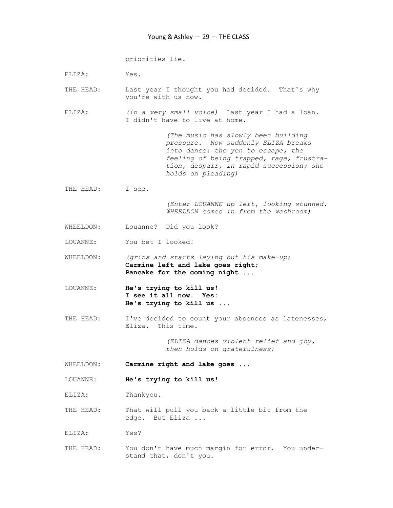priorities lie.

- ELIZA: Yes.
- THE HEAD: Last year I thought you had decided. That's why you're with us now.
- ELIZA: (in a very small voice) Last year I had a loan. I didn't have to live at home.

 (The music has slowly been building pressure. Now suddenly ELIZA breaks into dance: the yen to escape, the feeling of being trapped, rage, frustra tion, despair, in rapid succession; she holds on pleading)

THE HEAD: I see.

 (Enter LOUANNE up left, looking stunned. WHEELDON comes in from the washroom)

- WHEELDON: Louanne? Did you look?
- LOUANNE: You bet I looked!
- WHEELDON: (grins and starts laying out his make-up) Carmine left and lake goes right; Pancake for the coming night ...
- LOUANNE: He's trying to kill us! I see it all now. Yes: He's trying to kill us ...
- THE HEAD: I've decided to count your absences as latenesses, Eliza. This time.

 (ELIZA dances violent relief and joy, then holds on gratefulness)

- WHEELDON: Carmine right and lake goes ...
- LOUANNE: He's trying to kill us!

ELIZA: Thankyou.

- THE HEAD: That will pull you back a little bit from the edge. But Eliza ...
- ELIZA: Yes?
- THE HEAD: You don't have much margin for error. You under stand that, don't you.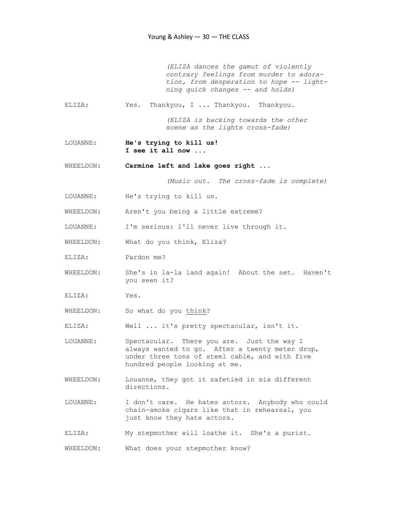(ELIZA dances the gamut of violently contrary feelings from murder to adora tion, from desperation to hope -- light ning quick changes -- and holds)

ELIZA: Yes. Thankyou, I ... Thankyou. Thankyou.

 (ELIZA is backing towards the other scene as the lights cross-fade)

LOUANNE: He's trying to kill us! I see it all now ...

WHEELDON: Carmine left and lake goes right ...

(Music out. The cross-fade is complete)

- LOUANNE: He's trying to kill us.
- WHEELDON: Aren't you being a little extreme?

LOUANNE: I'm serious: I'll never live through it.

- WHEELDON: What do you think, Eliza?
- ELIZA: Pardon me?
- WHEELDON: She's in la-la land again! About the set. Haven't you seen it?
- ELIZA: Yes.
- WHEELDON: So what do you think?

ELIZA: Well ... it's pretty spectacular, isn't it.

- LOUANNE: Spectacular. There you are. Just the way I always wanted to go. After a twenty meter drop, under three tons of steel cable, and with five hundred people looking at me.
- WHEELDON: Louanne, they got it safetied in six different directions.
- LOUANNE: I don't care. He hates actors. Anybody who could chain-smoke cigars like that in rehearsal, you just know they hate actors.
- ELIZA: My stepmother will loathe it. She's a purist.

WHEELDON: What does your stepmother know?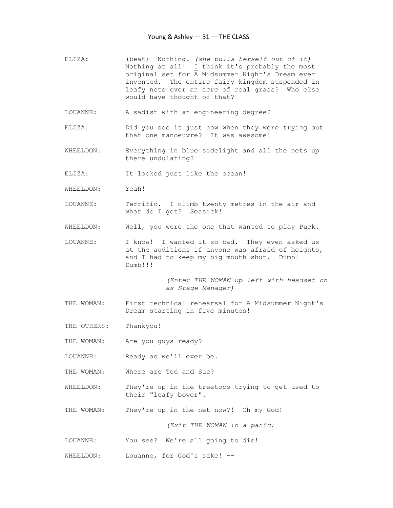- ELIZA: (beat) Nothing. (she pulls herself out of it) Nothing at all! I think it's probably the most original set for A Midsummer Night's Dream ever invented. The entire fairy kingdom suspended in leafy nets over an acre of real grass? Who else would have thought of that?
- LOUANNE: A sadist with an engineering degree?
- ELIZA: Did you see it just now when they were trying out that one manoeuvre? It was awesome!
- WHEELDON: Everything in blue sidelight and all the nets up there undulating?
- ELIZA: It looked just like the ocean!
- WHEELDON: Yeah!
- LOUANNE: Terrific. I climb twenty metres in the air and what do I get? Seasick!
- WHEELDON: Well, you were the one that wanted to play Puck.
- LOUANNE: I know! I wanted it so bad. They even asked us at the auditions if anyone was afraid of heights, and I had to keep my big mouth shut. Dumb! Dumb!!!

 (Enter THE WOMAN up left with headset on as Stage Manager)

THE WOMAN: First technical rehearsal for A Midsummer Night's Dream starting in five minutes!

THE OTHERS: Thankyou!

THE WOMAN: Are you guys ready?

LOUANNE: Ready as we'll ever be.

- THE WOMAN: Where are Ted and Sue?
- WHEELDON: They're up in the treetops trying to get used to their "leafy bower".
- THE WOMAN: They're up in the net now?! Oh my God!

(Exit THE WOMAN in a panic)

- LOUANNE: You see? We're all going to die!
- WHEELDON: Louanne, for God's sake! --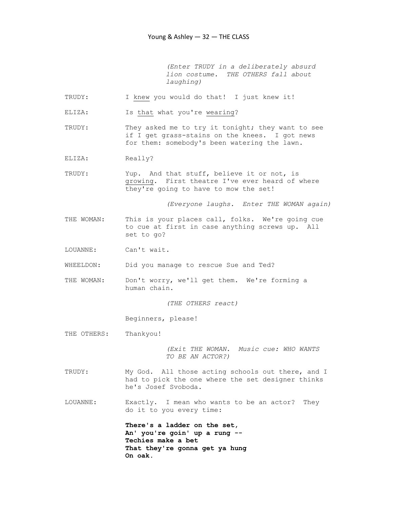(Enter TRUDY in a deliberately absurd lion costume. THE OTHERS fall about laughing)

- TRUDY: I knew you would do that! I just knew it!
- ELIZA: Is that what you're wearing?
- TRUDY: They asked me to try it tonight; they want to see if I get grass-stains on the knees. I got news for them: somebody's been watering the lawn.
- ELIZA: Really?
- TRUDY: Yup. And that stuff, believe it or not, is growing. First theatre I've ever heard of where they're going to have to mow the set!

(Everyone laughs. Enter THE WOMAN again)

- THE WOMAN: This is your places call, folks. We're going cue to cue at first in case anything screws up. All set to go?
- LOUANNE: Can't wait.
- WHEELDON: Did you manage to rescue Sue and Ted?
- THE WOMAN: Don't worry, we'll get them. We're forming a human chain.

(THE OTHERS react)

Beginners, please!

THE OTHERS: Thankyou!

 (Exit THE WOMAN. Music cue: WHO WANTS TO BE AN ACTOR?)

- TRUDY: My God. All those acting schools out there, and I had to pick the one where the set designer thinks he's Josef Svoboda.
- LOUANNE: Exactly. I mean who wants to be an actor? They do it to you every time:

 There's a ladder on the set, An' you're goin' up a rung -- Techies make a bet That they're gonna get ya hung On oak.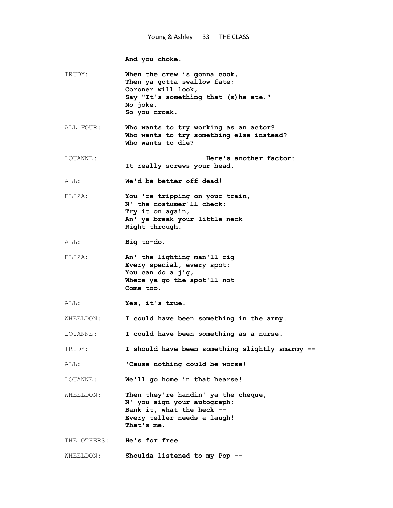And you choke.

| TRUDY:      | When the crew is gonna cook,<br>Then ya gotta swallow fate;<br>Coroner will look,<br>Say "It's something that (s) he ate."<br>No ioke.<br>So you croak. |
|-------------|---------------------------------------------------------------------------------------------------------------------------------------------------------|
| ALL FOUR:   | Who wants to try working as an actor?<br>Who wants to try something else instead?<br>Who wants to die?                                                  |
| LOUANNE:    | Here's another factor:<br>It really screws your head.                                                                                                   |
| ALL:        | We'd be better off dead!                                                                                                                                |
| ELIZA:      | You 're tripping on your train,<br>N' the costumer'll check;<br>Try it on again,<br>An' ya break your little neck<br>Right through.                     |
| ALL:        | Big to-do.                                                                                                                                              |
| ELIZA:      | An' the lighting man'll rig<br>Every special, every spot;<br>You can do a jig,<br>Where ya go the spot'll not<br>Come too.                              |
| ALL:        | Yes, it's true.                                                                                                                                         |
| WHEELDON:   | I could have been something in the army.                                                                                                                |
| LOUANNE:    | I could have been something as a nurse.                                                                                                                 |
| TRUDY:      | I should have been something slightly smarmy --                                                                                                         |
| ALL:        | 'Cause nothing could be worse!                                                                                                                          |
| LOUANNE:    | We'll go home in that hearse!                                                                                                                           |
| WHEELDON:   | Then they're handin' ya the cheque,<br>N' you sign your autograph;<br>Bank it, what the heck --<br>Every teller needs a laugh!<br>That's me.            |
| THE OTHERS: | He's for free.                                                                                                                                          |
| WHEELDON:   | Shoulda listened to my Pop --                                                                                                                           |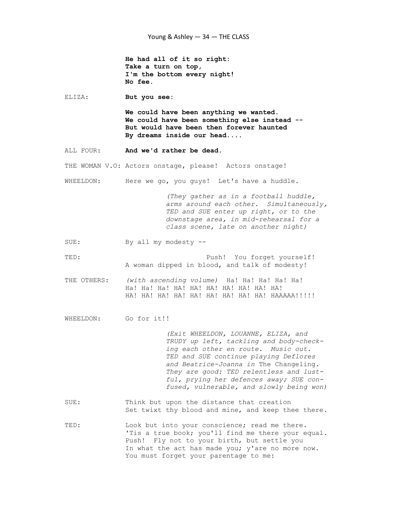He had all of it so right: Take a turn on top, I'm the bottom every night! No fee.

ELIZA: But you see:

 We could have been anything we wanted. We could have been something else instead -- But would have been then forever haunted By dreams inside our head....

ALL FOUR: And we'd rather be dead.

THE WOMAN V.O: Actors onstage, please! Actors onstage!

WHEELDON: Here we go, you guys! Let's have a huddle.

 (They gather as in a football huddle, arms around each other. Simultaneously, TED and SUE enter up right, or to the downstage area, in mid-rehearsal for a class scene, late on another night)

SUE: By all my modesty --

TED: Push! You forget yourself! A woman dipped in blood, and talk of modesty!

THE OTHERS: (with ascending volume) Ha! Ha! Ha! Ha! Ha! Ha! Ha! Ha! HA! HA! HA! HA! HA! HA! HA! HA! HA! HA! HA! HA! HA! HA! HA! HA! HAAAAA!!!!!!

WHEELDON: Go for it!!

 (Exit WHEELDON, LOUANNE, ELIZA, and TRUDY up left, tackling and body-check ing each other en route. Music out. TED and SUE continue playing Deflores and Beatrice-Joanna in The Changeling. They are good: TED relentless and lust ful, prying her defences away; SUE con fused, vulnerable, and slowly being won)

- SUE: Think but upon the distance that creation Set twixt thy blood and mine, and keep thee there.
- TED: Look but into your conscience; read me there. 'Tis a true book; you'll find me there your equal. Push! Fly not to your birth, but settle you In what the act has made you; y'are no more now. You must forget your parentage to me: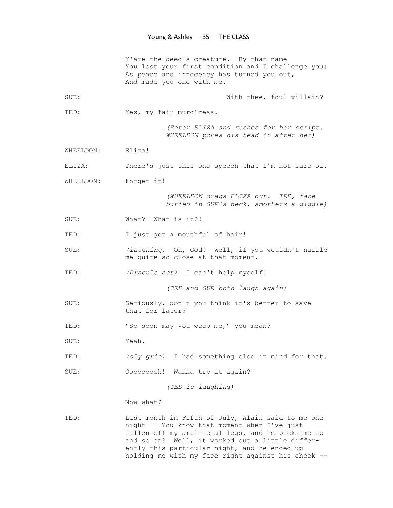|           | Y'are the deed's creature. By that name<br>You lost your first condition and I challenge you:<br>As peace and innocency has turned you out,<br>And made you one with me.                                                                                  |
|-----------|-----------------------------------------------------------------------------------------------------------------------------------------------------------------------------------------------------------------------------------------------------------|
| SUE:      | With thee, foul villain?                                                                                                                                                                                                                                  |
| TED:      | Yes, my fair murd'ress.                                                                                                                                                                                                                                   |
|           | (Enter ELIZA and rushes for her script.<br>WHEELDON pokes his head in after her)                                                                                                                                                                          |
| WHEELDON: | Eliza!                                                                                                                                                                                                                                                    |
| ELIZA:    | There's just this one speech that I'm not sure of.                                                                                                                                                                                                        |
| WHEELDON: | Forget it!                                                                                                                                                                                                                                                |
|           | (WHEELDON drags ELIZA out. TED, face<br>buried in SUE's neck, smothers a giggle)                                                                                                                                                                          |
| SUE:      | What? What is it?!                                                                                                                                                                                                                                        |
| TED:      | I just got a mouthful of hair!                                                                                                                                                                                                                            |
| SUE:      | (laughing) Oh, God! Well, if you wouldn't nuzzle<br>me quite so close at that moment.                                                                                                                                                                     |
| TED:      | (Dracula act) I can't help myself!                                                                                                                                                                                                                        |
|           | (TED and SUE both laugh again)                                                                                                                                                                                                                            |
| SUE:      | Seriously, don't you think it's better to save<br>that for later?                                                                                                                                                                                         |
| TED:      | "So soon may you weep me, " you mean?                                                                                                                                                                                                                     |
| SUE:      | Yeah.                                                                                                                                                                                                                                                     |
| TED:      | (sly grin) I had something else in mind for that.                                                                                                                                                                                                         |
| SUE:      | Ooooooooh! Wanna try it again?                                                                                                                                                                                                                            |
|           | (TED is laughing)                                                                                                                                                                                                                                         |
|           | Now what?                                                                                                                                                                                                                                                 |
| TED:      | Last month in Fifth of July, Alain said to me one<br>night -- You know that moment when I've just<br>fallen off my artificial legs, and he picks me up<br>and so on? Well, it worked out a little differ-<br>ently this particular night, and he ended up |

holding me with my face right against his cheek --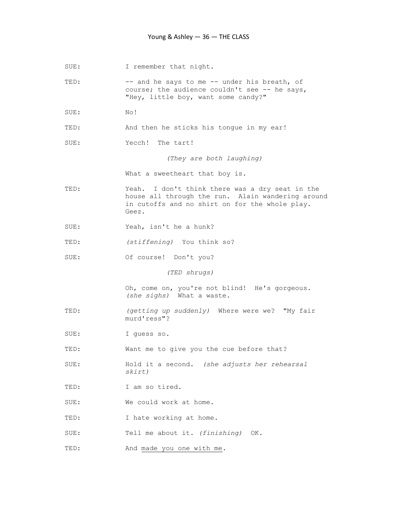SUE: I remember that night.

TED: -- and he says to me -- under his breath, of course; the audience couldn't see -- he says, "Hey, little boy, want some candy?"

- SUE: No!
- TED: And then he sticks his tongue in my ear!
- SUE: Yecch! The tart!

(They are both laughing)

What a sweetheart that boy is.

- TED: Yeah. I don't think there was a dry seat in the house all through the run. Alain wandering around in cutoffs and no shirt on for the whole play. Geez.
- SUE: Yeah, isn't he a hunk?
- TED: (stiffening) You think so?
- SUE: Of course! Don't you?

(TED shrugs)

 Oh, come on, you're not blind! He's gorgeous. (she sighs) What a waste.

- TED: (getting up suddenly) Where were we? "My fair murd'ress"?
- SUE: I guess so.
- TED: Want me to give you the cue before that?
- SUE: Hold it a second. (she adjusts her rehearsal skirt)
- TED: I am so tired.
- SUE: We could work at home.
- TED: I hate working at home.
- SUE: Tell me about it. (finishing) OK.
- TED: And made you one with me.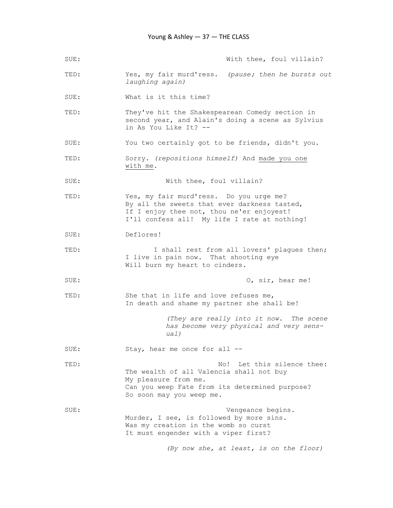| SUE: | With thee, foul villain?                                                                                                                                                             |
|------|--------------------------------------------------------------------------------------------------------------------------------------------------------------------------------------|
| TED: | Yes, my fair murd'ress. (pause; then he bursts out<br>laughing again)                                                                                                                |
| SUE: | What is it this time?                                                                                                                                                                |
| TED: | They've hit the Shakespearean Comedy section in<br>second year, and Alain's doing a scene as Sylvius<br>in As You Like It? --                                                        |
| SUE: | You two certainly got to be friends, didn't you.                                                                                                                                     |
| TED: | Sorry. (repositions himself) And made you one<br>with me.                                                                                                                            |
| SUE: | With thee, foul villain?                                                                                                                                                             |
| TED: | Yes, my fair murd'ress. Do you urge me?<br>By all the sweets that ever darkness tasted,<br>If I enjoy thee not, thou ne'er enjoyest!<br>I'll confess all! My life I rate at nothing! |
| SUE: | Deflores!                                                                                                                                                                            |
| TED: | I shall rest from all lovers' plagues then;<br>I live in pain now. That shooting eye<br>Will burn my heart to cinders.                                                               |
| SUE: | O, sir, hear me!                                                                                                                                                                     |
| TED: | She that in life and love refuses me,<br>In death and shame my partner she shall be!                                                                                                 |
|      | (They are really into it now. The scene<br>has become very physical and very sens-<br>ual)                                                                                           |
| SUE: | Stay, hear me once for all --                                                                                                                                                        |
| TED: | No! Let this silence thee:<br>The wealth of all Valencia shall not buy<br>My pleasure from me.<br>Can you weep Fate from its determined purpose?<br>So soon may you weep me.         |
| SUE: | Vengeance begins.<br>Murder, I see, is followed by more sins.<br>Was my creation in the womb so curst<br>It must engender with a viper first?                                        |
|      | (By now she, at least, is on the floor)                                                                                                                                              |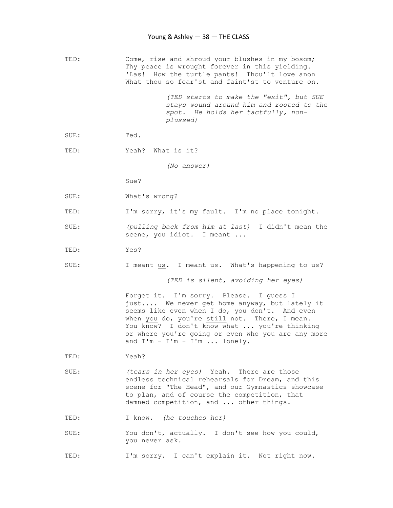TED: Come, rise and shroud your blushes in my bosom; Thy peace is wrought forever in this yielding. 'Las! How the turtle pants! Thou'lt love anon What thou so fear'st and faint'st to venture on.

> (TED starts to make the "exit", but SUE stays wound around him and rooted to the spot. He holds her tactfully, non plussed)

SUE: Ted.

TED: Yeah? What is it?

(No answer)

Sue?

- SUE: What's wrong?
- TED: I'm sorry, it's my fault. I'm no place tonight.
- SUE: (pulling back from him at last) I didn't mean the scene, you idiot. I meant ...
- TED: Yes?
- SUE: I meant us. I meant us. What's happening to us?

(TED is silent, avoiding her eyes)

 Forget it. I'm sorry. Please. I guess I just.... We never get home anyway, but lately it seems like even when I do, you don't. And even when you do, you're still not. There, I mean. You know? I don't know what ... you're thinking or where you're going or even who you are any more and I'm - I'm - I'm ... lonely.

- TED: Yeah?
- SUE: (tears in her eyes) Yeah. There are those endless technical rehearsals for Dream, and this scene for "The Head", and our Gymnastics showcase to plan, and of course the competition, that damned competition, and ... other things.

TED: I know. (he touches her)

SUE: You don't, actually. I don't see how you could, you never ask.

TED: I'm sorry. I can't explain it. Not right now.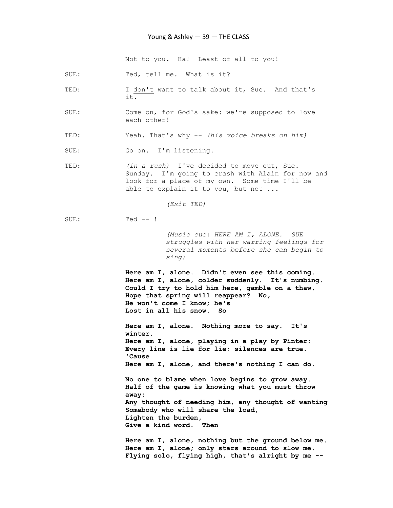#### Young & Ashley — 39 — THE CLASS

Not to you. Ha! Least of all to you!

SUE: Ted, tell me. What is it?

- TED: I don't want to talk about it, Sue. And that's it.
- SUE: Come on, for God's sake: we're supposed to love each other!
- TED: Yeah. That's why -- (his voice breaks on him)
- SUE: Go on. I'm listening.
- TED: (in a rush) I've decided to move out, Sue. Sunday. I'm going to crash with Alain for now and look for a place of my own. Some time I'll be able to explain it to you, but not ...

(Exit TED)

SUE: Ted -- !

 (Music cue: HERE AM I, ALONE. SUE struggles with her warring feelings for several moments before she can begin to sing)

 Here am I, alone. Didn't even see this coming. Here am I, alone, colder suddenly. It's numbing. Could I try to hold him here, gamble on a thaw, Hope that spring will reappear? No, He won't come I know; he's Lost in all his snow. So

 Here am I, alone. Nothing more to say. It's winter. Here am I, alone, playing in a play by Pinter: Every line is lie for lie; silences are true. 'Cause Here am I, alone, and there's nothing I can do.

 No one to blame when love begins to grow away. Half of the game is knowing what you must throw away: Any thought of needing him, any thought of wanting Somebody who will share the load, Lighten the burden, Give a kind word. Then

 Here am I, alone, nothing but the ground below me. Here am I, alone; only stars around to slow me. Flying solo, flying high, that's alright by me --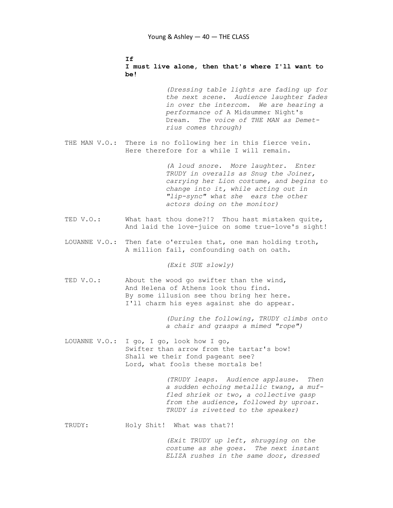# If I must live alone, then that's where I'll want to be! (Dressing table lights are fading up for the next scene. Audience laughter fades in over the intercom. We are hearing a performance of A Midsummer Night's Dream. The voice of THE MAN as Demet rius comes through) THE MAN V.O.: There is no following her in this fierce vein. Here therefore for a while I will remain. (A loud snore. More laughter. Enter TRUDY in overalls as Snug the Joiner, carrying her Lion costume, and begins to change into it, while acting out in "lip-sync" what she ears the other actors doing on the monitor) TED V.O.: What hast thou done?!? Thou hast mistaken quite, And laid the love-juice on some true-love's sight! LOUANNE V.O.: Then fate o'errules that, one man holding troth, A million fail, confounding oath on oath. (Exit SUE slowly) TED V.O.: About the wood go swifter than the wind, And Helena of Athens look thou find. By some illusion see thou bring her here. I'll charm his eyes against she do appear. (During the following, TRUDY climbs onto a chair and grasps a mimed "rope") LOUANNE V.O.: I go, I go, look how I go, Swifter than arrow from the tartar's bow! Shall we their fond pageant see? Lord, what fools these mortals be! (TRUDY leaps. Audience applause. Then a sudden echoing metallic twang, a muf fled shriek or two, a collective gasp from the audience, followed by uproar. TRUDY is rivetted to the speaker) TRUDY: Holy Shit! What was that?!

 (Exit TRUDY up left, shrugging on the costume as she goes. The next instant ELIZA rushes in the same door, dressed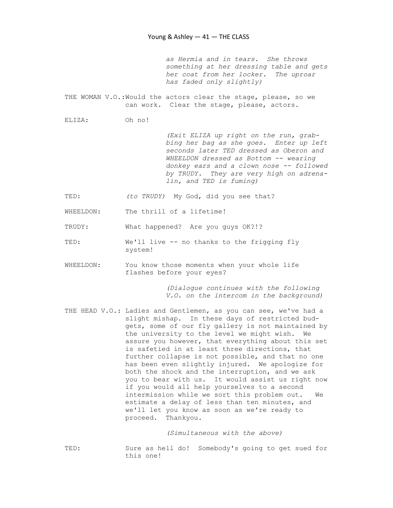as Hermia and in tears. She throws something at her dressing table and gets her coat from her locker. The uproar has faded only slightly)

THE WOMAN V.O.: Would the actors clear the stage, please, so we can work. Clear the stage, please, actors.

ELIZA: Oh no!

 (Exit ELIZA up right on the run, grab bing her bag as she goes. Enter up left seconds later TED dressed as Oberon and WHEELDON dressed as Bottom -- wearing donkey ears and a clown nose -- followed by TRUDY. They are very high on adrena lin, and TED is fuming)

TED: (to TRUDY) My God, did you see that?

WHEELDON: The thrill of a lifetime!

TRUDY: What happened? Are you guys OK?!?

- TED: We'll live -- no thanks to the frigging fly system!
- WHEELDON: You know those moments when your whole life flashes before your eyes?

 (Dialogue continues with the following V.O. on the intercom in the background)

THE HEAD V.O.: Ladies and Gentlemen, as you can see, we've had a slight mishap. In these days of restricted bud gets, some of our fly gallery is not maintained by the university to the level we might wish. We assure you however, that everything about this set is safetied in at least three directions, that further collapse is not possible, and that no one has been even slightly injured. We apologize for both the shock and the interruption, and we ask you to bear with us. It would assist us right now if you would all help yourselves to a second intermission while we sort this problem out. We estimate a delay of less than ten minutes, and we'll let you know as soon as we're ready to proceed. Thankyou.

(Simultaneous with the above)

TED: Sure as hell do! Somebody's going to get sued for this one!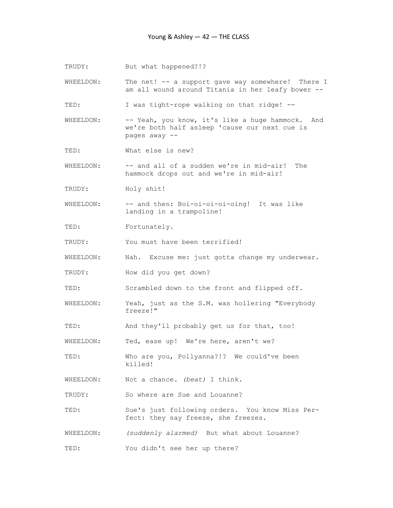TRUDY: But what happened?!?

WHEELDON: The net! -- a support gave way somewhere! There I am all wound around Titania in her leafy bower --

TED: I was tight-rope walking on that ridge! --

WHEELDON: -- Yeah, you know, it's like a huge hammock. And we're both half asleep 'cause our next cue is pages away --

TED: What else is new?

WHEELDON: -- and all of a sudden we're in mid-air! The hammock drops out and we're in mid-air!

TRUDY: Holy shit!

WHEELDON: -- and then: Boi-oi-oi-oi-oing! It was like landing in a trampoline!

TED: Fortunately.

TRUDY: You must have been terrified!

WHEELDON: Nah. Excuse me: just gotta change my underwear.

TRUDY: How did you get down?

TED: Scrambled down to the front and flipped off.

WHEELDON: Yeah, just as the S.M. was hollering "Everybody freeze!"

TED: And they'll probably get us for that, too!

WHEELDON: Ted, ease up! We're here, aren't we?

TED: Who are you, Pollyanna?!? We could've been killed!

WHEELDON: Not a chance. (beat) I think.

TRUDY: So where are Sue and Louanne?

TED: Sue's just following orders. You know Miss Per fect: they say freeze, she freezes.

WHEELDON: (suddenly alarmed) But what about Louanne?

TED: You didn't see her up there?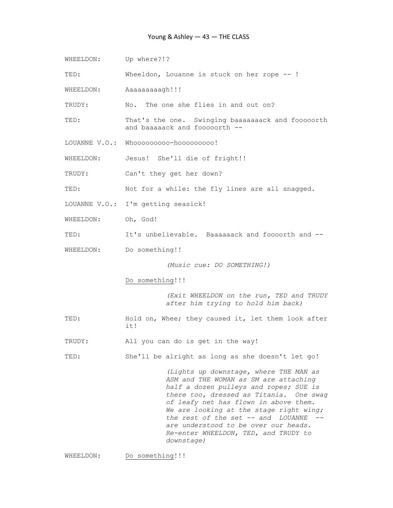### Young & Ashley — 43 — THE CLASS

WHEELDON: Up where?!?

TED: Wheeldon, Louanne is stuck on her rope -- !

WHEELDON: Aaaaaaaaaqh!!!

TRUDY: No. The one she flies in and out on?

- TED: That's the one. Swinging baaaaaaack and fooooorth and baaaaack and fooooorth --
- LOUANNE V.O.: Whooooooooo-hooooooooo!

WHEELDON: Jesus! She'll die of fright!!

TRUDY: Can't they get her down?

TED: Not for a while: the fly lines are all snagged.

LOUANNE V.O.: I'm getting seasick!

- WHEELDON: Oh, God!
- TED: It's unbelievable. Baaaaaack and foooorth and --
- WHEELDON: Do something!!

(Music cue: DO SOMETHING!)

Do something!!!

 (Exit WHEELDON on the run, TED and TRUDY after him trying to hold him back)

- TED: Hold on, Whee; they caused it, let them look after it!
- TRUDY: All you can do is get in the way!

TED: She'll be alright as long as she doesn't let go!

 (Lights up downstage, where THE MAN as ASM and THE WOMAN as SM are attaching half a dozen pulleys and ropes; SUE is there too, dressed as Titania. One swag of leafy net has flown in above them. We are looking at the stage right wing; the rest of the set  $--$  and LOUANNE  $-$  are understood to be over our heads. Re-enter WHEELDON, TED, and TRUDY to downstage)

WHEELDON: Do something!!!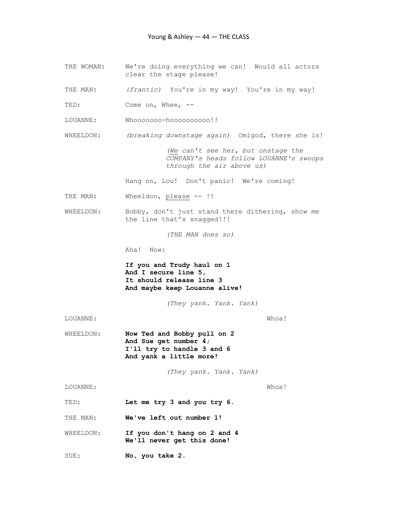- THE WOMAN: We're doing everything we can! Would all actors clear the stage please!
- THE MAN: (frantic) You're in my way! You're in my way!
- TED: Come on, Whee, --
- LOUANNE: Whooooooo-hoooooooooo!!
- WHEELDON: (breaking downstage again) Omigod, there she is!

 (We can't see her, but onstage the COMPANY's heads follow LOUANNE's swoops through the air above us)

Hang on, Lou! Don't panic! We're coming!

- THE MAN: Wheeldon, please -- !!
- WHEELDON: Bobby, don't just stand there dithering, show me the line that's snagged!!!

(THE MAN does so)

Aha! Now:

 If you and Trudy haul on 1 And I secure line 5, It should release line 3 And maybe keep Louanne alive!

(They yank. Yank. Yank)

LOUANNE: Whoa!

WHEELDON: Now Ted and Bobby pull on 2 And Sue get number 4; I'll try to handle 3 and 6 And yank a little more!

(They yank. Yank. Yank)

LOUANNE: Whoa!

TED: Let me try 3 and you try 6.

THE MAN: We've left out number 1!

- WHEELDON: If you don't hang on 2 and 4 We'll never get this done!
- SUE: No, you take 2.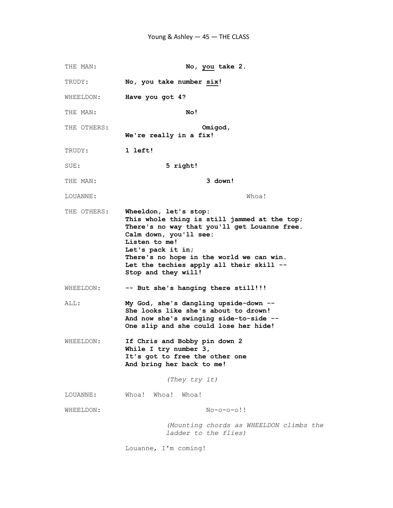THE MAN: No, you take 2. TRUDY: No, you take number six! WHEELDON: Have you got 4? THE MAN: No! THE OTHERS: Omigod, We're really in a fix! TRUDY: 1 left! SUE: 5 right! THE MAN: 3 down! LOUANNE: Whoa! THE OTHERS: Wheeldon, let's stop: This whole thing is still jammed at the top; There's no way that you'll get Louanne free. Calm down, you'll see: Listen to me! Let's pack it in; There's no hope in the world we can win. Let the techies apply all their skill -- Stop and they will! WHEELDON: -- But she's hanging there still!!! ALL: My God, she's dangling upside-down -- She looks like she's about to drown! And now she's swinging side-to-side -- One slip and she could lose her hide! WHEELDON: If Chris and Bobby pin down 2 While I try number 3, It's got to free the other one And bring her back to me! (They try it) LOUANNE: Whoa! Whoa! Whoa! WHEELDON: No-o-o-o!! (Mounting chords as WHEELDON climbs the ladder to the flies) Louanne, I'm coming!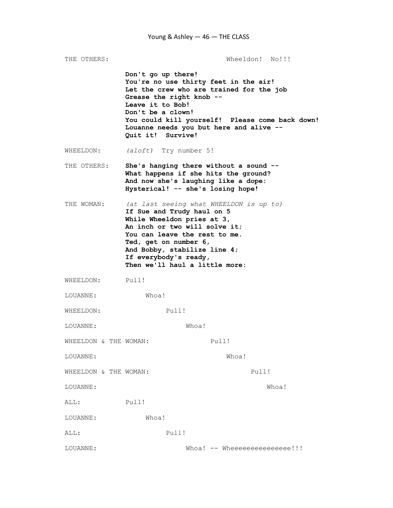THE OTHERS: Wheeldon! No!!! Don't go up there! You're no use thirty feet in the air! Let the crew who are trained for the job Grease the right knob -- Leave it to Bob! Don't be a clown! You could kill yourself! Please come back down! Louanne needs you but here and alive -- Quit it! Survive! WHEELDON: (aloft) Try number 5! THE OTHERS: She's hanging there without a sound -- What happens if she hits the ground? And now she's laughing like a dope: Hysterical! -- she's losing hope! THE WOMAN: (at last seeing what WHEELDON is up to) If Sue and Trudy haul on 5 While Wheeldon pries at 3, An inch or two will solve it; You can leave the rest to me. Ted, get on number 6, And Bobby, stabilize line 4; If everybody's ready, Then we'll haul a little more: WHEELDON: Pull! LOUANNE: Whoa! WHEELDON: Pull! LOUANNE: Whoa! WHEELDON & THE WOMAN: Pull! LOUANNE: Whoa! WHEELDON & THE WOMAN: Pull! LOUANNE: Whoa! ALL: Pull! LOUANNE: Whoa! ALL: Pull! LOUANNE: Whoa! -- Wheeeeeeeeeeeee!!!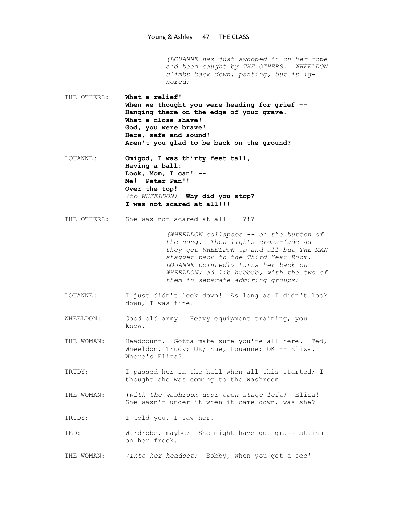(LOUANNE has just swooped in on her rope and been caught by THE OTHERS. WHEELDON climbs back down, panting, but is ig nored) THE OTHERS: What a relief! When we thought you were heading for grief -- Hanging there on the edge of your grave. What a close shave! God, you were brave! Here, safe and sound! Aren't you glad to be back on the ground?

LOUANNE: Omigod, I was thirty feet tall, Having a ball: Look, Mom, I can! -- Me! Peter Pan!! Over the top! (to WHEELDON) Why did you stop? I was not scared at all!!!

THE OTHERS: She was not scared at all -- ?!?

 (WHEELDON collapses -- on the button of the song. Then lights cross-fade as they get WHEELDON up and all but THE MAN stagger back to the Third Year Room. LOUANNE pointedly turns her back on WHEELDON; ad lib hubbub, with the two of them in separate admiring groups)

- LOUANNE: I just didn't look down! As long as I didn't look down, I was fine!
- WHEELDON: Good old army. Heavy equipment training, you know.

THE WOMAN: Headcount. Gotta make sure you're all here. Ted, Wheeldon, Trudy; OK; Sue, Louanne; OK -- Eliza. Where's Eliza?!

TRUDY: I passed her in the hall when all this started; I thought she was coming to the washroom.

THE WOMAN: (with the washroom door open stage left) Eliza! She wasn't under it when it came down, was she?

TRUDY: I told you, I saw her.

TED: Wardrobe, maybe? She might have got grass stains on her frock.

THE WOMAN: (into her headset) Bobby, when you get a sec'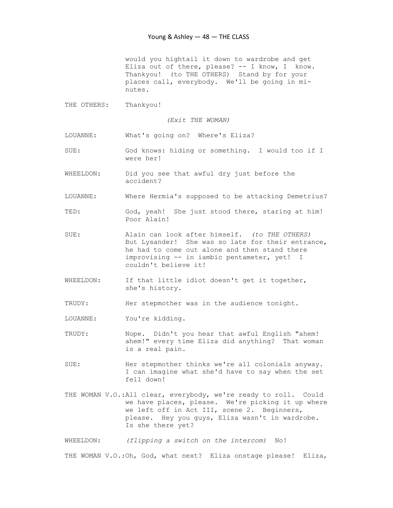would you hightail it down to wardrobe and get Eliza out of there, please? -- I know, I know. Thankyou! (to THE OTHERS) Stand by for your places call, everybody. We'll be going in mi nutes.

THE OTHERS: Thankyou!

(Exit THE WOMAN)

LOUANNE: What's going on? Where's Eliza?

- SUE: God knows: hiding or something. I would too if I were her!
- WHEELDON: Did you see that awful dry just before the accident?
- LOUANNE: Where Hermia's supposed to be attacking Demetrius?
- TED: God, yeah! She just stood there, staring at him! Poor Alain!
- SUE: Alain can look after himself. (to THE OTHERS) But Lysander! She was so late for their entrance, he had to come out alone and then stand there improvising -- in iambic pentameter, yet! I couldn't believe it!
- WHEELDON: If that little idiot doesn't get it together, she's history.

TRUDY: Her stepmother was in the audience tonight.

- LOUANNE: You're kidding.
- TRUDY: Nope. Didn't you hear that awful English "ahem! ahem!" every time Eliza did anything? That woman is a real pain.
- SUE: Her stepmother thinks we're all colonials anyway. I can imagine what she'd have to say when the set fell down!
- THE WOMAN V.O.:All clear, everybody, we're ready to roll. Could we have places, please. We're picking it up where we left off in Act III, scene 2. Beginners, please. Hey you guys, Eliza wasn't in wardrobe. Is she there yet?

WHEELDON: (flipping a switch on the intercom) No! THE WOMAN V.O.: Oh, God, what next? Eliza onstage please! Eliza,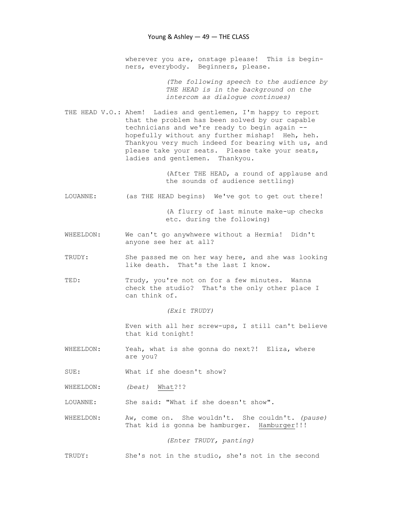wherever you are, onstage please! This is begin ners, everybody. Beginners, please.

> (The following speech to the audience by THE HEAD is in the background on the intercom as dialogue continues)

THE HEAD V.O.: Ahem! Ladies and gentlemen, I'm happy to report that the problem has been solved by our capable technicians and we're ready to begin again - hopefully without any further mishap! Heh, heh. Thankyou very much indeed for bearing with us, and please take your seats. Please take your seats, ladies and gentlemen. Thankyou.

> (After THE HEAD, a round of applause and the sounds of audience settling)

LOUANNE: (as THE HEAD begins) We've got to get out there!

 (A flurry of last minute make-up checks etc. during the following)

- WHEELDON: We can't go anywhwere without a Hermia! Didn't anyone see her at all?
- TRUDY: She passed me on her way here, and she was looking like death. That's the last I know.
- TED: Trudy, you're not on for a few minutes. Wanna check the studio? That's the only other place I can think of.

## (Exit TRUDY)

 Even with all her screw-ups, I still can't believe that kid tonight!

WHEELDON: Yeah, what is she gonna do next?! Eliza, where are you?

SUE: What if she doesn't show?

WHEELDON: (beat) What?!?

LOUANNE: She said: "What if she doesn't show".

WHEELDON: Aw, come on. She wouldn't. She couldn't. (pause) That kid is gonna be hamburger. Hamburger!!!

(Enter TRUDY, panting)

TRUDY: She's not in the studio, she's not in the second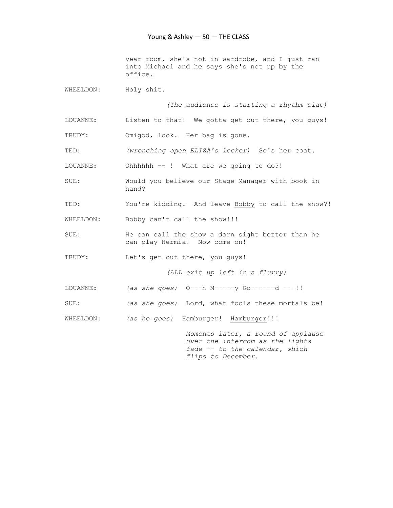year room, she's not in wardrobe, and I just ran into Michael and he says she's not up by the office.

WHEELDON: Holy shit.

(The audience is starting a rhythm clap)

LOUANNE: Listen to that! We gotta get out there, you guys!

TRUDY: Omigod, look. Her bag is gone.

TED: (wrenching open ELIZA's locker) So's her coat.

LOUANNE: Ohhhhhh -- ! What are we going to do?!

SUE: Would you believe our Stage Manager with book in hand?

TED: You're kidding. And leave Bobby to call the show?!

WHEELDON: Bobby can't call the show!!!

SUE: He can call the show a darn sight better than he can play Hermia! Now come on!

TRUDY: Let's get out there, you guys!

(ALL exit up left in a flurry)

LOUANNE: (as she goes) O---h M-----y Go------d -- !!

SUE: (as she goes) Lord, what fools these mortals be!

WHEELDON: (as he goes) Hamburger! Hamburger!!!

 Moments later, a round of applause over the intercom as the lights fade -- to the calendar, which flips to December.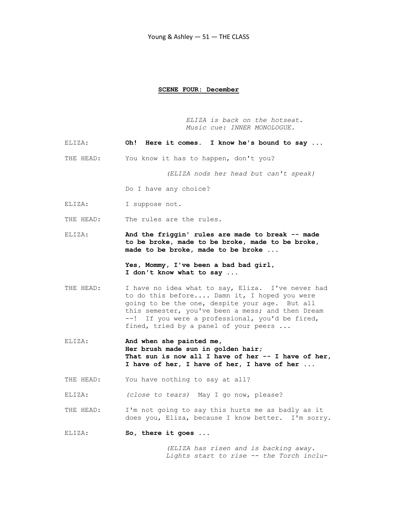#### SCENE FOUR: December

 ELIZA is back on the hotseat. Music cue: INNER MONOLOGUE.

- ELIZA: Oh! Here it comes. I know he's bound to say ...
- THE HEAD: You know it has to happen, don't you?

(ELIZA nods her head but can't speak)

Do I have any choice?

ELIZA: I suppose not.

THE HEAD: The rules are the rules.

ELIZA: And the friggin' rules are made to break -- made to be broke, made to be broke, made to be broke, made to be broke, made to be broke ...

> Yes, Mommy, I've been a bad bad girl, I don't know what to say ...

- THE HEAD: I have no idea what to say, Eliza. I've never had to do this before.... Damn it, I hoped you were going to be the one, despite your age. But all this semester, you've been a mess; and then Dream --! If you were a professional, you'd be fired, fined, tried by a panel of your peers ...
- ELIZA: And when she painted me, Her brush made sun in golden hair; That sun is now all I have of her  $-$  I have of her, I have of her, I have of her, I have of her ...
- THE HEAD: You have nothing to say at all?

ELIZA: (close to tears) May I go now, please?

- THE HEAD: I'm not going to say this hurts me as badly as it does you, Eliza, because I know better. I'm sorry.
- ELIZA: So, there it goes ...

 (ELIZA has risen and is backing away. Lights start to rise -- the Torch inclu-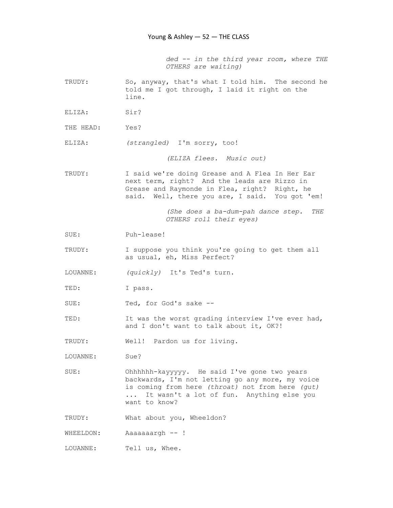ded -- in the third year room, where THE OTHERS are waiting)

- TRUDY: So, anyway, that's what I told him. The second he told me I got through, I laid it right on the line.
- ELIZA: Sir?
- THE HEAD: Yes?
- ELIZA: (strangled) I'm sorry, too!

(ELIZA flees. Music out)

TRUDY: I said we're doing Grease and A Flea In Her Ear next term, right? And the leads are Rizzo in Grease and Raymonde in Flea, right? Right, he said. Well, there you are, I said. You got 'em!

> (She does a ba-dum-pah dance step. THE OTHERS roll their eyes)

- SUE: Puh-lease!
- TRUDY: I suppose you think you're going to get them all as usual, eh, Miss Perfect?
- LOUANNE: (quickly) It's Ted's turn.
- TED: I pass.
- SUE: Ted, for God's sake --
- TED: It was the worst grading interview I've ever had, and I don't want to talk about it, OK?!

TRUDY: Well! Pardon us for living.

- LOUANNE: Sue?
- SUE: Ohhhhhh-kayyyyy. He said I've gone two years backwards, I'm not letting go any more, my voice is coming from here (throat) not from here (gut) ... It wasn't a lot of fun. Anything else you want to know?

TRUDY: What about you, Wheeldon?

WHEELDON: Aaaaaaargh -- !

LOUANNE: Tell us, Whee.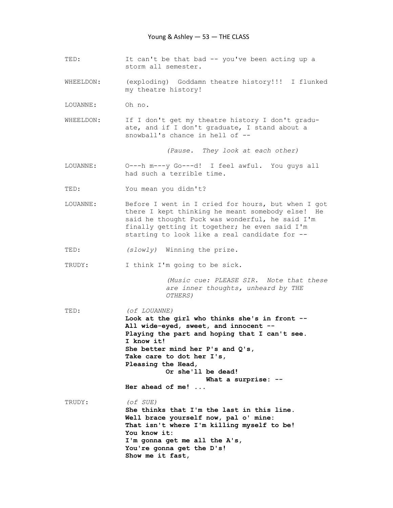- TED: It can't be that bad -- you've been acting up a storm all semester.
- WHEELDON: (exploding) Goddamn theatre history!!! I flunked my theatre history!
- LOUANNE: Oh no.
- WHEELDON: If I don't get my theatre history I don't gradu ate, and if I don't graduate, I stand about a snowball's chance in hell of --

(Pause. They look at each other)

- LOUANNE: O---h m---y Go---d! I feel awful. You guys all had such a terrible time.
- TED: You mean you didn't?
- LOUANNE: Before I went in I cried for hours, but when I got there I kept thinking he meant somebody else! He said he thought Puck was wonderful, he said I'm finally getting it together; he even said I'm starting to look like a real candidate for --
- TED: (slowly) Winning the prize.

TRUDY: I think I'm going to be sick.

Show me it fast,

 (Music cue: PLEASE SIR. Note that these are inner thoughts, unheard by THE OTHERS)

TED:  $($  of LOUANNE) Look at the girl who thinks she's in front -- All wide-eyed, sweet, and innocent -- Playing the part and hoping that I can't see. I know it! She better mind her P's and Q's, Take care to dot her I's, Pleasing the Head, Or she'll be dead! What a surprise: -- Her ahead of me! ... TRUDY: (of SUE) She thinks that I'm the last in this line. Well brace yourself now, pal o' mine: That isn't where I'm killing myself to be! You know it: I'm gonna get me all the A's, You're gonna get the D's!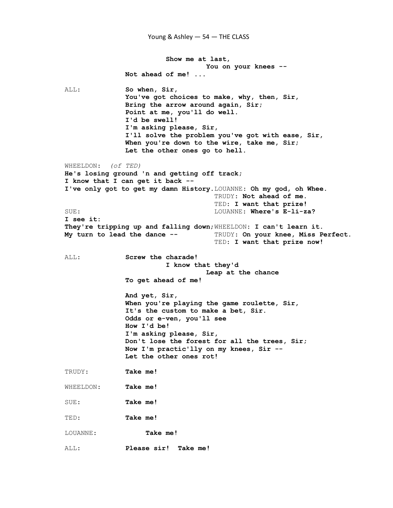Young & Ashley — 54 — THE CLASS

 Show me at last, You on your knees -- Not ahead of me! ... ALL: So when, Sir, You've got choices to make, why, then, Sir, Bring the arrow around again, Sir; Point at me, you'll do well. I'd be swell! I'm asking please, Sir, I'll solve the problem you've got with ease, Sir, When you're down to the wire, take me, Sir; Let the other ones go to hell. WHEELDON: (of TED) He's losing ground 'n and getting off track; I know that I can get it back -- I've only got to get my damn History.LOUANNE: Oh my god, oh Whee. TRUDY: Not ahead of me. TED: I want that prize! SUE: SUE: E-li-za? I see it: They're tripping up and falling down;WHEELDON: I can't learn it. My turn to lead the dance -- TRUDY: On your knee, Miss Perfect. TED: I want that prize now! ALL: Screw the charade! I know that they'd Leap at the chance To get ahead of me! And yet, Sir, When you're playing the game roulette, Sir, It's the custom to make a bet, Sir. Odds or e-ven, you'll see How I'd be! I'm asking please, Sir, Don't lose the forest for all the trees, Sir; Now I'm practic'lly on my knees, Sir -- Let the other ones rot! TRUDY: Take me! WHEELDON: Take me! SUE: Take me! TED: Take me! LOUANNE: Take me! ALL: Please sir! Take me!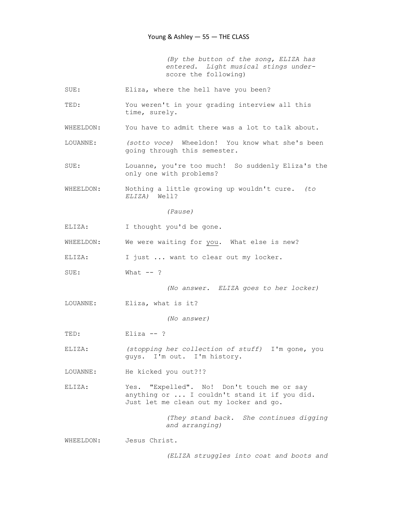(By the button of the song, ELIZA has entered. Light musical stings under score the following)

- SUE: Eliza, where the hell have you been?
- TED: You weren't in your grading interview all this time, surely.
- WHEELDON: You have to admit there was a lot to talk about.
- LOUANNE: (sotto voce) Wheeldon! You know what she's been going through this semester.
- SUE: Louanne, you're too much! So suddenly Eliza's the only one with problems?
- WHEELDON: Nothing a little growing up wouldn't cure. (to ELIZA) Well?

(Pause)

- ELIZA: I thought you'd be gone.
- WHEELDON: We were waiting for you. What else is new?
- ELIZA: I just ... want to clear out my locker.
- SUE: What --?

(No answer. ELIZA goes to her locker)

LOUANNE: Eliza, what is it?

(No answer)

TED: Eliza --?

- ELIZA: (stopping her collection of stuff) I'm gone, you guys. I'm out. I'm history.
- LOUANNE: He kicked you out?!?
- ELIZA: Yes. "Expelled". No! Don't touch me or say anything or ... I couldn't stand it if you did. Just let me clean out my locker and go.

 (They stand back. She continues digging and arranging)

WHEELDON: Jesus Christ.

(ELIZA struggles into coat and boots and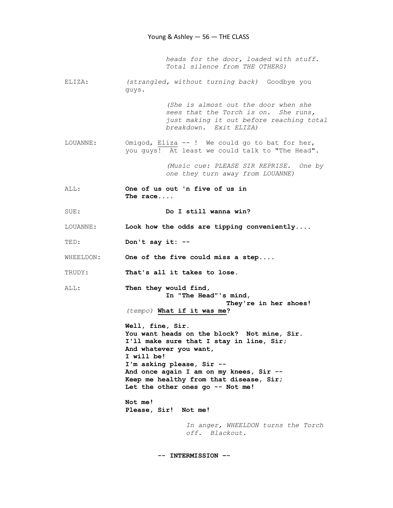heads for the door, loaded with stuff. Total silence from THE OTHERS)

ELIZA: (strangled, without turning back) Goodbye you guys.

> (She is almost out the door when she sees that the Torch is on. She runs, just making it out before reaching total breakdown. Exit ELIZA)

LOUANNE: Omigod, Eliza -- ! We could go to bat for her, you guys! At least we could talk to "The Head".

> (Music cue: PLEASE SIR REPRISE. One by one they turn away from LOUANNE)

ALL: One of us out 'n five of us in The race....

SUE: Do I still wanna win?

LOUANNE: Look how the odds are tipping conveniently....

TED: Don't say it: --

WHEELDON: One of the five could miss a step....

- TRUDY: That's all it takes to lose.
- ALL: Then they would find, In "The Head"'s mind, They're in her shoes!

(tempo) What if it was me?

 Well, fine, Sir. You want heads on the block? Not mine, Sir. I'll make sure that I stay in line, Sir; And whatever you want, I will be! I'm asking please, Sir -- And once again I am on my knees, Sir -- Keep me healthy from that disease, Sir; Let the other ones go -- Not me!

 Not me! Please, Sir! Not me!

> In anger, WHEELDON turns the Torch off. Blackout.

-- INTERMISSION –-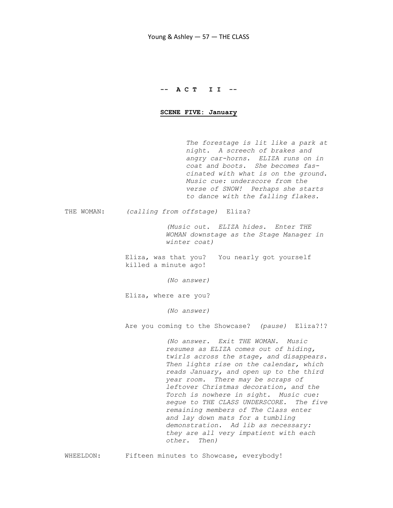## -- A C T I I --

#### SCENE FIVE: January

 The forestage is lit like a park at night. A screech of brakes and angry car-horns. ELIZA runs on in coat and boots. She becomes fas cinated with what is on the ground. Music cue: underscore from the verse of SNOW! Perhaps she starts to dance with the falling flakes.

THE WOMAN: (calling from offstage) Eliza?

 (Music out. ELIZA hides. Enter THE WOMAN downstage as the Stage Manager in winter coat)

 Eliza, was that you? You nearly got yourself killed a minute ago!

(No answer)

Eliza, where are you?

(No answer)

Are you coming to the Showcase? (pause) Eliza?!?

 (No answer. Exit THE WOMAN. Music resumes as ELIZA comes out of hiding, twirls across the stage, and disappears. Then lights rise on the calendar, which reads January, and open up to the third year room. There may be scraps of leftover Christmas decoration, and the Torch is nowhere in sight. Music cue: segue to THE CLASS UNDERSCORE. The five remaining members of The Class enter and lay down mats for a tumbling demonstration. Ad lib as necessary: they are all very impatient with each other. Then)

WHEELDON: Fifteen minutes to Showcase, everybody!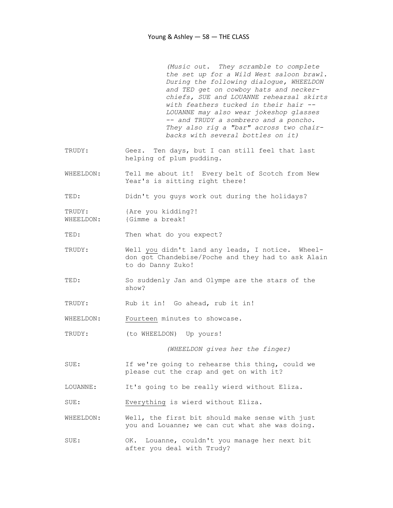(Music out. They scramble to complete the set up for a Wild West saloon brawl. During the following dialogue, WHEELDON and TED get on cowboy hats and necker chiefs, SUE and LOUANNE rehearsal skirts with feathers tucked in their hair -- LOUANNE may also wear jokeshop glasses -- and TRUDY a sombrero and a poncho. They also rig a "bar" across two chair backs with several bottles on it)

- TRUDY: Geez. Ten days, but I can still feel that last helping of plum pudding.
- WHEELDON: Tell me about it! Every belt of Scotch from New Year's is sitting right there!
- TED: Didn't you guys work out during the holidays?

TRUDY: {Are you kidding?! WHEELDON: {Gimme a break!

- TED: Then what do you expect?
- TRUDY: Well you didn't land any leads, I notice. Wheel don got Chandebise/Poche and they had to ask Alain to do Danny Zuko!
- TED: So suddenly Jan and Olympe are the stars of the show?
- TRUDY: Rub it in! Go ahead, rub it in!
- WHEELDON: Fourteen minutes to showcase.
- TRUDY: (to WHEELDON) Up yours!

(WHEELDON gives her the finger)

- SUE: If we're going to rehearse this thing, could we please cut the crap and get on with it?
- LOUANNE: It's going to be really wierd without Eliza.
- SUE: Everything is wierd without Eliza.
- WHEELDON: Well, the first bit should make sense with just you and Louanne; we can cut what she was doing.
- SUE: OK. Louanne, couldn't you manage her next bit after you deal with Trudy?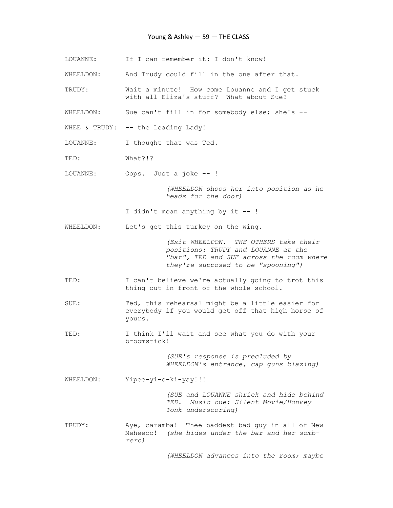#### Young & Ashley — 59 — THE CLASS

LOUANNE: If I can remember it: I don't know! WHEELDON: And Trudy could fill in the one after that. TRUDY: Wait a minute! How come Louanne and I get stuck with all Eliza's stuff? What about Sue? WHEELDON: Sue can't fill in for somebody else; she's --WHEE & TRUDY: -- the Leading Lady! LOUANNE: I thought that was Ted. TED: What?!? LOUANNE: Oops. Just a joke -- ! (WHEELDON shoos her into position as he heads for the door) I didn't mean anything by it -- ! WHEELDON: Let's get this turkey on the wing. (Exit WHEELDON. THE OTHERS take their positions: TRUDY and LOUANNE at the "bar", TED and SUE across the room where they're supposed to be "spooning") TED: I can't believe we're actually going to trot this thing out in front of the whole school. SUE: Ted, this rehearsal might be a little easier for everybody if you would get off that high horse of yours. TED: I think I'll wait and see what you do with your broomstick! (SUE's response is precluded by WHEELDON's entrance, cap guns blazing) WHEELDON: Yipee-yi-o-ki-yay!!! (SUE and LOUANNE shriek and hide behind TED. Music cue: Silent Movie/Honkey Tonk underscoring) TRUDY: Aye, caramba! Thee baddest bad guy in all of New Meheeco! (she hides under the bar and her somb rero)

(WHEELDON advances into the room; maybe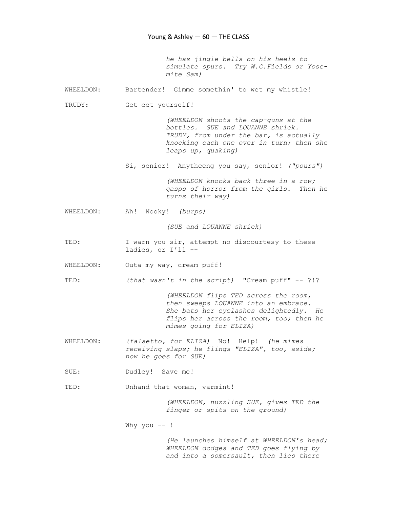he has jingle bells on his heels to simulate spurs. Try W.C.Fields or Yose mite Sam)

WHEELDON: Bartender! Gimme somethin' to wet my whistle!

TRUDY: Get eet yourself!

 (WHEELDON shoots the cap-guns at the bottles. SUE and LOUANNE shriek. TRUDY, from under the bar, is actually knocking each one over in turn; then she leaps up, quaking)

Si, senior! Anytheeng you say, senior! ("pours")

 (WHEELDON knocks back three in a row; gasps of horror from the girls. Then he turns their way)

WHEELDON: Ah! Nooky! (burps)

(SUE and LOUANNE shriek)

TED: I warn you sir, attempt no discourtesy to these ladies, or I'll --

WHEELDON: Outa my way, cream puff!

TED: (that wasn't in the script) "Cream puff" -- ?!?

 (WHEELDON flips TED across the room, then sweeps LOUANNE into an embrace. She bats her eyelashes delightedly. He flips her across the room, too; then he mimes going for ELIZA)

- WHEELDON: (falsetto, for ELIZA) No! Help! (he mimes receiving slaps; he flings "ELIZA", too, aside; now he goes for SUE)
- SUE: Dudley! Save me!

TED: Unhand that woman, varmint!

 (WHEELDON, nuzzling SUE, gives TED the finger or spits on the ground)

Why you  $--$ !

 (He launches himself at WHEELDON's head; WHEELDON dodges and TED goes flying by and into a somersault, then lies there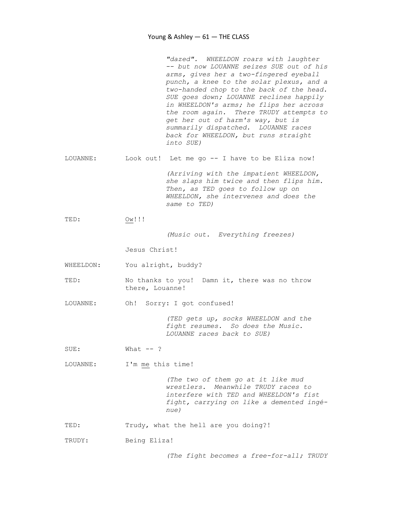"dazed". WHEELDON roars with laughter -- but now LOUANNE seizes SUE out of his arms, gives her a two-fingered eyeball punch, a knee to the solar plexus, and a two-handed chop to the back of the head. SUE goes down; LOUANNE reclines happily in WHEELDON's arms; he flips her across the room again. There TRUDY attempts to get her out of harm's way, but is summarily dispatched. LOUANNE races back for WHEELDON, but runs straight into SUE) LOUANNE: Look out! Let me go -- I have to be Eliza now! (Arriving with the impatient WHEELDON, she slaps him twice and then flips him. Then, as TED goes to follow up on WHEELDON, she intervenes and does the same to TED) TED:  $\qquad \qquad \mathsf{OW}!!!$  (Music out. Everything freezes) Jesus Christ! WHEELDON: You alright, buddy? TED: No thanks to you! Damn it, there was no throw there, Louanne! LOUANNE: Oh! Sorry: I got confused! (TED gets up, socks WHEELDON and the fight resumes. So does the Music. LOUANNE races back to SUE) SUE: What --? LOUANNE: I'm me this time!

 (The two of them go at it like mud wrestlers. Meanwhile TRUDY races to interfere with TED and WHEELDON's fist fight, carrying on like a demented ingé nue)

TED: Trudy, what the hell are you doing?!

TRUDY: Being Eliza!

(The fight becomes a free-for-all; TRUDY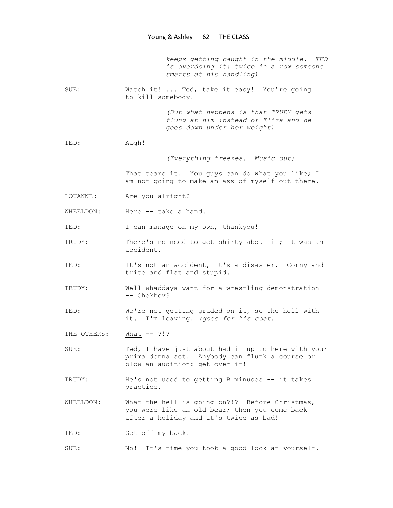keeps getting caught in the middle. TED is overdoing it: twice in a row someone smarts at his handling)

SUE: Watch it! ... Ted, take it easy! You're going to kill somebody!

> (But what happens is that TRUDY gets flung at him instead of Eliza and he goes down under her weight)

## TED: Aagh!

(Everything freezes. Music out)

That tears it. You guys can do what you like; I am not going to make an ass of myself out there.

- LOUANNE: Are you alright?
- WHEELDON: Here -- take a hand.

TED: I can manage on my own, thankyou!

- TRUDY: There's no need to get shirty about it; it was an accident.
- TED: It's not an accident, it's a disaster. Corny and trite and flat and stupid.
- TRUDY: Well whaddaya want for a wrestling demonstration -- Chekhov?
- TED: We're not getting graded on it, so the hell with it. I'm leaving. (goes for his coat)

THE OTHERS: What -- ?!?

- SUE: Ted, I have just about had it up to here with your prima donna act. Anybody can flunk a course or blow an audition: get over it!
- TRUDY: He's not used to getting B minuses -- it takes practice.
- WHEELDON: What the hell is going on?!? Before Christmas, you were like an old bear; then you come back after a holiday and it's twice as bad!
- TED: Get off my back!
- SUE: No! It's time you took a good look at yourself.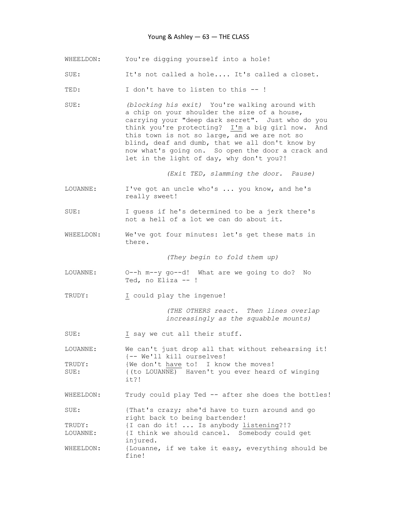## Young & Ashley — 63 — THE CLASS

- WHEELDON: You're digging yourself into a hole!
- SUE: It's not called a hole.... It's called a closet.

TED: I don't have to listen to this --!

SUE: (blocking his exit) You're walking around with a chip on your shoulder the size of a house, carrying your "deep dark secret". Just who do you think you're protecting? I'm a big girl now. And this town is not so large, and we are not so blind, deaf and dumb, that we all don't know by now what's going on. So open the door a crack and let in the light of day, why don't you?!

(Exit TED, slamming the door. Pause)

- LOUANNE: I've got an uncle who's ... you know, and he's really sweet!
- SUE: I guess if he's determined to be a jerk there's not a hell of a lot we can do about it.
- WHEELDON: We've got four minutes: let's get these mats in there.

(They begin to fold them up)

- LOUANNE: O--h m--y go--d! What are we going to do? No Ted, no Eliza -- !
- TRUDY: I could play the ingenue!

 (THE OTHERS react. Then lines overlap increasingly as the squabble mounts)

SUE: I say we cut all their stuff.

LOUANNE: We can't just drop all that without rehearsing it! {-- We'll kill ourselves! TRUDY: {We don't have to! I know the moves! SUE: {(to LOUANNE) Haven't you ever heard of winging it?!

WHEELDON: Trudy could play Ted -- after she does the bottles!

SUE: {That's crazy; she'd have to turn around and go right back to being bartender! TRUDY: {I can do it! ... Is anybody listening?!? LOUANNE: {I think we should cancel. Somebody could get injured. WHEELDON: {Louanne, if we take it easy, everything should be fine!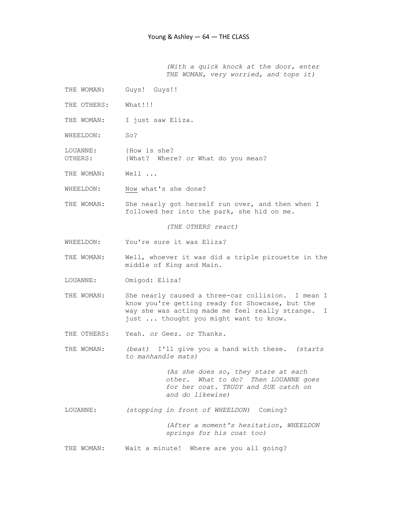(With a quick knock at the door, enter THE WOMAN, very worried, and tops it)

- THE WOMAN: Guys! Guys!!
- THE OTHERS: What!!!
- THE WOMAN: I just saw Eliza.
- WHEELDON: So?
- LOUANNE: {How is she? OTHERS: {What? Where? or What do you mean?
- THE WOMAN: Well ...
- WHEELDON: Now what's she done?
- THE WOMAN: She nearly got herself run over, and then when I followed her into the park, she hid on me.

(THE OTHERS react)

- WHEELDON: You're sure it was Eliza?
- THE WOMAN: Well, whoever it was did a triple pirouette in the middle of King and Main.
- LOUANNE: Omigod: Eliza!
- THE WOMAN: She nearly caused a three-car collision. I mean I know you're getting ready for Showcase, but the way she was acting made me feel really strange. I just ... thought you might want to know.
- THE OTHERS: Yeah. or Geez. or Thanks.
- THE WOMAN: (beat) I'll give you a hand with these. (starts to manhandle mats)

 (As she does so, they stare at each other. What to do? Then LOUANNE goes for her coat. TRUDY and SUE catch on and do likewise)

LOUANNE: (stopping in front of WHEELDON) Coming?

 (After a moment's hesitation, WHEELDON springs for his coat too)

THE WOMAN: Wait a minute! Where are you all going?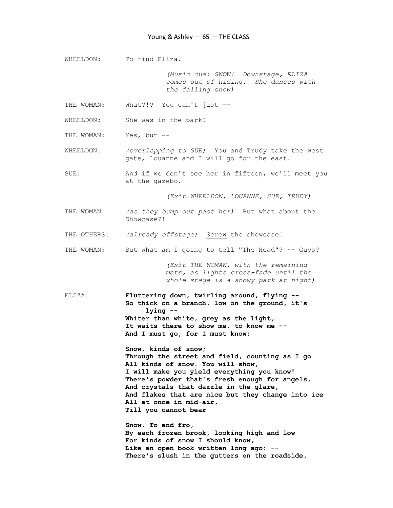WHEELDON: To find Eliza.

 (Music cue: SNOW! Downstage, ELIZA comes out of hiding. She dances with the falling snow)

THE WOMAN: What?!? You can't just --

WHEELDON: She was in the park?

THE WOMAN: Yes, but --

WHEELDON: (overlapping to SUE) You and Trudy take the west gate, Louanne and I will go for the east.

SUE: And if we don't see her in fifteen, we'll meet you at the gazebo.

(Exit WHEELDON, LOUANNE, SUE, TRUDY)

- THE WOMAN: (as they bump out past her) But what about the Showcase?!
- THE OTHERS: (already offstage) Screw the showcase!
- THE WOMAN: But what am I going to tell "The Head"? -- Guys?

 (Exit THE WOMAN, with the remaining mats, as lights cross-fade until the whole stage is a snowy park at night)

ELIZA: Fluttering down, twirling around, flying -- So thick on a branch, low on the ground, it's lying -- Whiter than white, grey as the light, It waits there to show me, to know me -- And I must go, for I must know:

> Snow, kinds of snow; Through the street and field, counting as I go All kinds of snow. You will show, I will make you yield everything you know! There's powder that's fresh enough for angels, And crystals that dazzle in the glare, And flakes that are nice but they change into ice All at once in mid-air, Till you cannot bear

 Snow. To and fro, By each frozen brook, looking high and low For kinds of snow I should know, Like an open book written long ago: -- There's slush in the gutters on the roadside,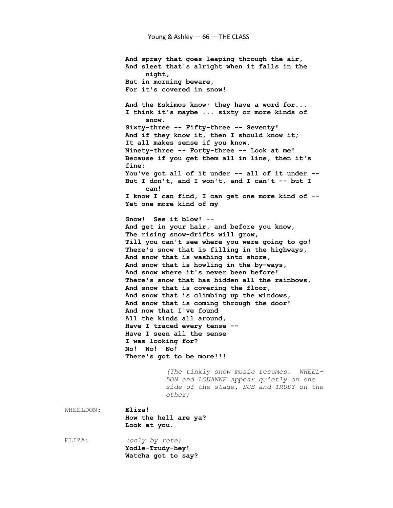And spray that goes leaping through the air, And sleet that's alright when it falls in the night, But in morning beware, For it's covered in snow! And the Eskimos know; they have a word for... I think it's maybe ... sixty or more kinds of snow. Sixty-three -- Fifty-three -- Seventy! And if they know it, then I should know it; It all makes sense if you know. Ninety-three -- Forty-three -- Look at me! Because if you get them all in line, then it's fine: You've got all of it under -- all of it under -- But I don't, and I won't, and I can't -- but I can! I know I can find, I can get one more kind of -- Yet one more kind of my Snow! See it blow! -- And get in your hair, and before you know, The rising snow-drifts will grow, Till you can't see where you were going to go! There's snow that is filling in the highways, And snow that is washing into shore, And snow that is howling in the by-ways, And snow where it's never been before! There's snow that has hidden all the rainbows, And snow that is covering the floor, And snow that is climbing up the windows, And snow that is coming through the door! And now that I've found All the kinds all around, Have I traced every tense -- Have I seen all the sense I was looking for? No! No! No! There's got to be more!!! (The tinkly snow music resumes. WHEEL- DON and LOUANNE appear quietly on one side of the stage, SUE and TRUDY on the other) WHEELDON: Eliza! How the hell are ya? Look at you. ELIZA: (only by rote)

 Yodle-Trudy-hey! Watcha got to say?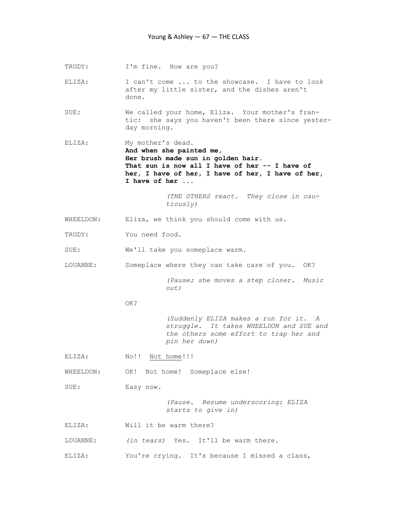TRUDY: I'm fine. How are you?

ELIZA: I can't come ... to the showcase. I have to look after my little sister, and the dishes aren't done.

SUE: We called your home, Eliza. Your mother's fran tic: she says you haven't been there since yester day morning.

ELIZA: My mother's dead. And when she painted me, Her brush made sun in golden hair. That sun is now all I have of her -- I have of her, I have of her, I have of her, I have of her, I have of her ...

> (THE OTHERS react. They close in cau tiously)

- WHEELDON: Eliza, we think you should come with us.
- TRUDY: You need food.
- SUE: We'll take you someplace warm.
- LOUANNE: Someplace where they can take care of you. OK?

 (Pause; she moves a step closer. Music out)

#### OK?

 (Suddenly ELIZA makes a run for it. A struggle. It takes WHEELDON and SUE and the others some effort to trap her and pin her down)

ELIZA: No!! Not home!!!

WHEELDON: OK! Not home! Someplace else!

SUE: Easy now.

 (Pause. Resume underscoring: ELIZA starts to give in)

ELIZA: Will it be warm there?

LOUANNE: (in tears) Yes. It'll be warm there.

ELIZA: You're crying. It's because I missed a class,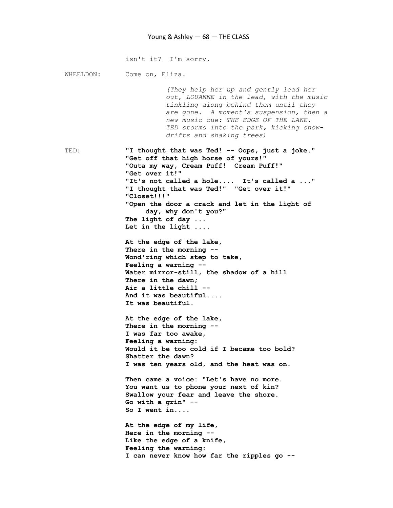isn't it? I'm sorry. WHEELDON: Come on, Eliza. (They help her up and gently lead her out, LOUANNE in the lead, with the music tinkling along behind them until they are gone. A moment's suspension, then a new music cue: THE EDGE OF THE LAKE. TED storms into the park, kicking snow drifts and shaking trees) TED: "I thought that was Ted! -- Oops, just a joke." "Get off that high horse of yours!" "Outa my way, Cream Puff! Cream Puff!" "Get over it!" "It's not called a hole.... It's called a ..." "I thought that was Ted!" "Get over it!" "Closet!!!" "Open the door a crack and let in the light of day, why don't you?" The light of day ... Let in the light .... At the edge of the lake, There in the morning -- Wond'ring which step to take, Feeling a warning -- Water mirror-still, the shadow of a hill There in the dawn; Air a little chill -- And it was beautiful.... It was beautiful. At the edge of the lake, There in the morning -- I was far too awake, Feeling a warning: Would it be too cold if I became too bold? Shatter the dawn? I was ten years old, and the heat was on. Then came a voice: "Let's have no more. You want us to phone your next of kin? Swallow your fear and leave the shore. Go with a grin" -- So I went in.... At the edge of my life, Here in the morning -- Like the edge of a knife, Feeling the warning: I can never know how far the ripples go --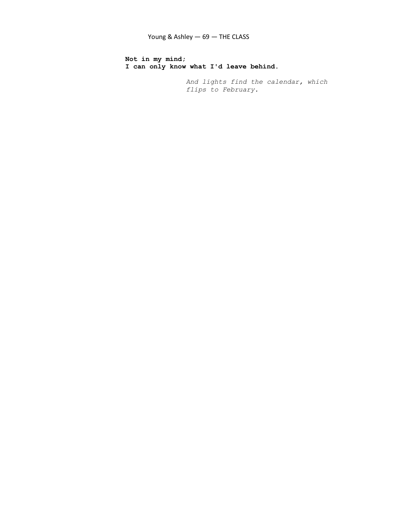Not in my mind; I can only know what I'd leave behind.

> And lights find the calendar, which flips to February.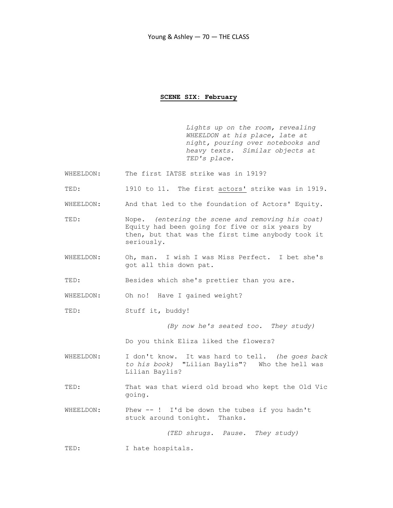### SCENE SIX: February

 Lights up on the room, revealing WHEELDON at his place, late at night, pouring over notebooks and heavy texts. Similar objects at TED's place.

- WHEELDON: The first IATSE strike was in 1919?
- TED: 1910 to 11. The first actors' strike was in 1919.
- WHEELDON: And that led to the foundation of Actors' Equity.
- TED: Nope. (entering the scene and removing his coat) Equity had been going for five or six years by then, but that was the first time anybody took it seriously.
- WHEELDON: Oh, man. I wish I was Miss Perfect. I bet she's got all this down pat.

TED: Besides which she's prettier than you are.

WHEELDON: Oh no! Have I gained weight?

TED: Stuff it, buddy!

(By now he's seated too. They study)

Do you think Eliza liked the flowers?

WHEELDON: I don't know. It was hard to tell. (he goes back to his book) "Lilian Baylis"? Who the hell was Lilian Baylis?

- TED: That was that wierd old broad who kept the Old Vic going.
- WHEELDON: Phew --! I'd be down the tubes if you hadn't stuck around tonight. Thanks.

(TED shrugs. Pause. They study)

TED: I hate hospitals.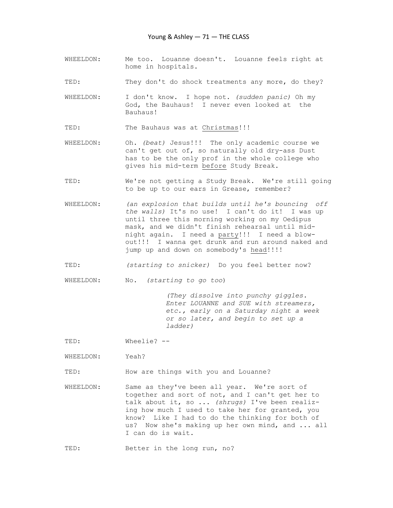- WHEELDON: Me too. Louanne doesn't. Louanne feels right at home in hospitals.
- TED: They don't do shock treatments any more, do they?
- WHEELDON: I don't know. I hope not. (sudden panic) Oh my God, the Bauhaus! I never even looked at the Bauhaus!

TED: The Bauhaus was at Christmas!!!

- WHEELDON: Oh. (beat) Jesus!!! The only academic course we can't get out of, so naturally old dry-ass Dust has to be the only prof in the whole college who gives his mid-term before Study Break.
- TED: We're not getting a Study Break. We're still going to be up to our ears in Grease, remember?
- WHEELDON: (an explosion that builds until he's bouncing off the walls) It's no use! I can't do it! I was up until three this morning working on my Oedipus mask, and we didn't finish rehearsal until mid night again. I need a party!!! I need a blow out!!! I wanna get drunk and run around naked and jump up and down on somebody's head!!!!!
- TED: (starting to snicker) Do you feel better now?

WHEELDON: No. (starting to go too)

 (They dissolve into punchy giggles. Enter LOUANNE and SUE with streamers, etc., early on a Saturday night a week or so later, and begin to set up a ladder)

TED: Wheelie? --

WHEELDON: Yeah?

TED: How are things with you and Louanne?

WHEELDON: Same as they've been all year. We're sort of together and sort of not, and I can't get her to talk about it, so ... (shrugs) I've been realiz ing how much I used to take her for granted, you know? Like I had to do the thinking for both of us? Now she's making up her own mind, and ... all I can do is wait.

TED: Better in the long run, no?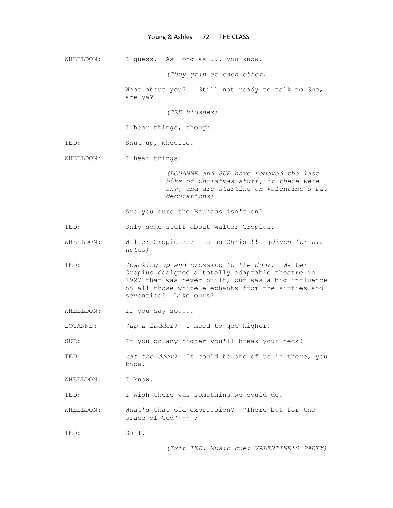## Young & Ashley - 72 - THE CLASS

WHEELDON: I guess. As long as ... you know.

(They grin at each other)

What about you? Still not ready to talk to Sue, are ya?

(TED blushes)

I hear things, though.

- TED: Shut up, Wheelie.
- WHEELDON: I hear things!

 (LOUANNE and SUE have removed the last bits of Christmas stuff, if there were any, and are starting on Valentine's Day decorations)

Are you sure the Bauhaus isn't on?

TED: Only some stuff about Walter Gropius.

- WHEELDON: Walter Gropius?!? Jesus Christ!! (dives for his notes)
- TED: (packing up and crossing to the door) Walter Gropius designed a totally adaptable theatre in 1927 that was never built, but was a big influence on all those white elephants from the sixties and seventies? Like ours?
- WHEELDON: If you say so....

LOUANNE: (up a ladder) I need to get higher!

SUE: If you go any higher you'll break your neck!

TED: (at the door) It could be one of us in there, you know.

WHEELDON: I know.

TED: I wish there was something we could do.

WHEELDON: What's that old expression? "There but for the grace of God" -- ?

TED: Go I.

(Exit TED. Music cue: VALENTINE'S PARTY)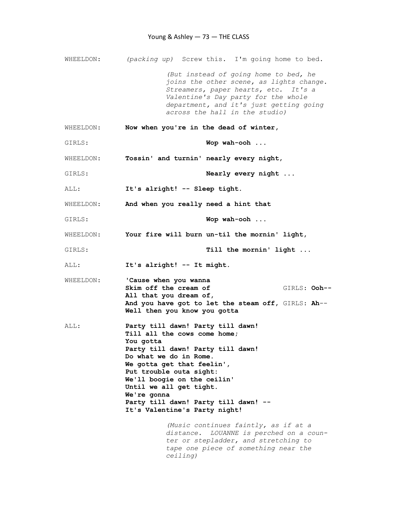WHEELDON: (packing up) Screw this. I'm going home to bed. (But instead of going home to bed, he joins the other scene, as lights change. Streamers, paper hearts, etc. It's a Valentine's Day party for the whole department, and it's just getting going across the hall in the studio) WHEELDON: Now when you're in the dead of winter, GIRLS: Wop wah-ooh ... WHEELDON: Tossin' and turnin' nearly every night, GIRLS:  $\blacksquare$  Nearly every night ... ALL: It's alright! -- Sleep tight. WHEELDON: And when you really need a hint that GIRLS: Wop wah-ooh ... WHEELDON: Your fire will burn un-til the mornin' light, GIRLS: Till the mornin' light ... ALL: It's alright! -- It might. WHEELDON: Cause when you wanna Skim off the cream of GIRLS: Ooh-- All that you dream of, And you have got to let the steam off, GIRLS: Ah-- Well then you know you gotta ALL: Party till dawn! Party till dawn! Till all the cows come home; You gotta Party till dawn! Party till dawn! Do what we do in Rome. We gotta get that feelin', Put trouble outa sight: We'll boogie on the ceilin' Until we all get tight. We're gonna Party till dawn! Party till dawn! -- It's Valentine's Party night! (Music continues faintly, as if at a distance. LOUANNE is perched on a coun ter or stepladder, and stretching to tape one piece of something near the ceiling)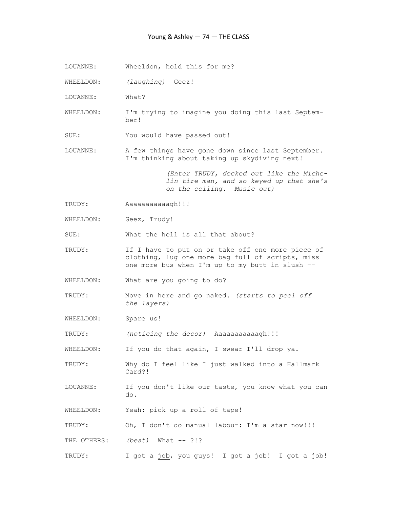- LOUANNE: Wheeldon, hold this for me?
- WHEELDON: (laughing) Geez!
- LOUANNE: What?
- WHEELDON: I'm trying to imagine you doing this last Septem ber!
- SUE: You would have passed out!
- LOUANNE: A few things have gone down since last September. I'm thinking about taking up skydiving next!

 (Enter TRUDY, decked out like the Miche lin tire man, and so keyed up that she's on the ceiling. Music out)

- TRUDY: Aaaaaaaaaaagh!!!
- WHEELDON: Geez, Trudy!

SUE: What the hell is all that about?

- TRUDY: If I have to put on or take off one more piece of clothing, lug one more bag full of scripts, miss one more bus when I'm up to my butt in slush --
- WHEELDON: What are you going to do?
- TRUDY: Move in here and go naked. (starts to peel off the layers)
- WHEELDON: Spare us!

TRUDY: (noticing the decor) Aaaaaaaaaaagh!!!

WHEELDON: If you do that again, I swear I'll drop ya.

- TRUDY: Why do I feel like I just walked into a Hallmark Card?!
- LOUANNE: If you don't like our taste, you know what you can do.
- WHEELDON: Yeah: pick up a roll of tape!

TRUDY: Oh, I don't do manual labour: I'm a star now!!!

THE OTHERS: (beat) What -- ?!?

TRUDY: I got a job, you guys! I got a job! I got a job!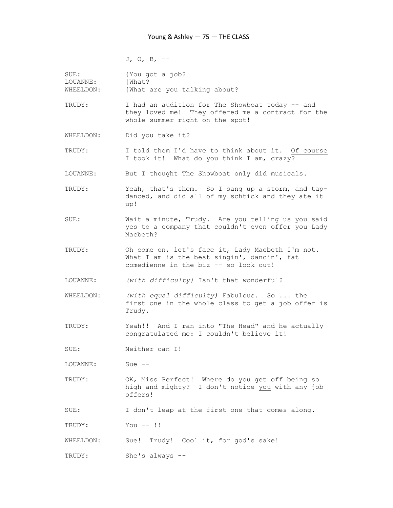J, O, B, --

| SUE:<br>LOUANNE:<br>WHEELDON: | {You got a job?<br>{What?<br>{What are you talking about?                                                                                |
|-------------------------------|------------------------------------------------------------------------------------------------------------------------------------------|
| TRUDY:                        | I had an audition for The Showboat today -- and<br>they loved me! They offered me a contract for the<br>whole summer right on the spot!  |
| WHEELDON:                     | Did you take it?                                                                                                                         |
| TRUDY:                        | I told them I'd have to think about it. Of course<br>I took it! What do you think I am, crazy?                                           |
| LOUANNE:                      | But I thought The Showboat only did musicals.                                                                                            |
| TRUDY:                        | Yeah, that's them. So I sang up a storm, and tap-<br>danced, and did all of my schtick and they ate it<br>up!                            |
| SUE:                          | Wait a minute, Trudy. Are you telling us you said<br>yes to a company that couldn't even offer you Lady<br>Macbeth?                      |
| TRUDY:                        | Oh come on, let's face it, Lady Macbeth I'm not.<br>What I am is the best singin', dancin', fat<br>comedienne in the biz -- so look out! |
| LOUANNE:                      | (with difficulty) Isn't that wonderful?                                                                                                  |
| WHEELDON:                     | (with equal difficulty) Fabulous. So  the<br>first one in the whole class to get a job offer is<br>Trudy.                                |
| TRUDY:                        | Yeah!! And I ran into "The Head" and he actually<br>congratulated me: I couldn't believe it!                                             |
| SUE:                          | Neither can I!                                                                                                                           |
| LOUANNE:                      | Sue $--$                                                                                                                                 |
| TRUDY:                        | OK, Miss Perfect! Where do you get off being so<br>high and mighty? I don't notice you with any job<br>offers!                           |
| SUE:                          | I don't leap at the first one that comes along.                                                                                          |
| TRUDY:                        | $You --!!$                                                                                                                               |
| WHEELDON:                     | Trudy! Cool it, for god's sake!<br>Sue!                                                                                                  |
| TRUDY:                        | She's always --                                                                                                                          |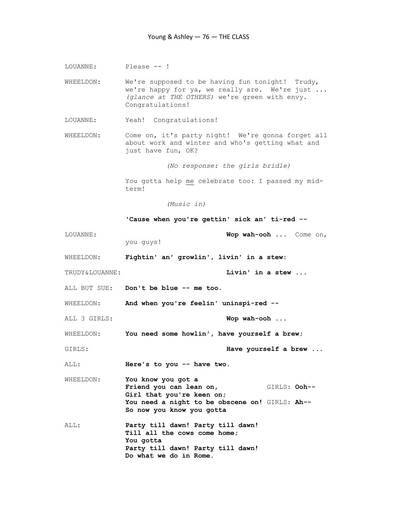LOUANNE: Please -- !

WHEELDON: We're supposed to be having fun tonight! Trudy, we're happy for ya, we really are. We're just ... (glance at THE OTHERS) we're green with envy. Congratulations!

- LOUANNE: Yeah! Congratulations!
- WHEELDON: Come on, it's party night! We're gonna forget all about work and winter and who's getting what and just have fun, OK?

(No response: the girls bridle)

 You gotta help me celebrate too: I passed my mid term!

(Music in)

'Cause when you're gettin' sick an' ti-red --

LOUANNE:  $Wop$  wah-ooh ... Come on, you guys! WHEELDON: Fightin' an' growlin', livin' in a stew: TRUDY&LOUANNE: TRUDY&LOUANNE: ALL BUT SUE: Don't be blue -- me too. WHEELDON: And when you're feelin' uninspi-red --ALL 3 GIRLS: Wop wah-ooh ... WHEELDON: You need some howlin', have yourself a brew; GIRLS: GIRLS: **Have yourself a brew** ... ALL: Here's to you -- have two. WHEELDON: You know you got a Friend you can lean on, GIRLS: Ooh-- Girl that you're keen on; You need a night to be obscene on! GIRLS: Ah-- So now you know you gotta ALL: Party till dawn! Party till dawn! Till all the cows come home; You gotta Party till dawn! Party till dawn! Do what we do in Rome.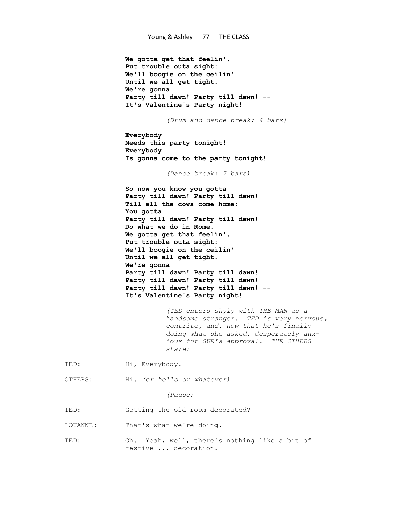We gotta get that feelin', Put trouble outa sight: We'll boogie on the ceilin' Until we all get tight. We're gonna Party till dawn! Party till dawn! -- It's Valentine's Party night! (Drum and dance break: 4 bars) Everybody Needs this party tonight! Everybody Is gonna come to the party tonight! (Dance break: 7 bars) So now you know you gotta Party till dawn! Party till dawn! Till all the cows come home; You gotta Party till dawn! Party till dawn! Do what we do in Rome. We gotta get that feelin', Put trouble outa sight: We'll boogie on the ceilin' Until we all get tight. We're gonna Party till dawn! Party till dawn! Party till dawn! Party till dawn! Party till dawn! Party till dawn! -- It's Valentine's Party night! (TED enters shyly with THE MAN as a handsome stranger. TED is very nervous, contrite, and, now that he's finally doing what she asked, desperately anx ious for SUE's approval. THE OTHERS stare) TED: Hi, Everybody. OTHERS: Hi. (or hello or whatever) (Pause) TED: Getting the old room decorated? LOUANNE: That's what we're doing. TED: Oh. Yeah, well, there's nothing like a bit of festive ... decoration.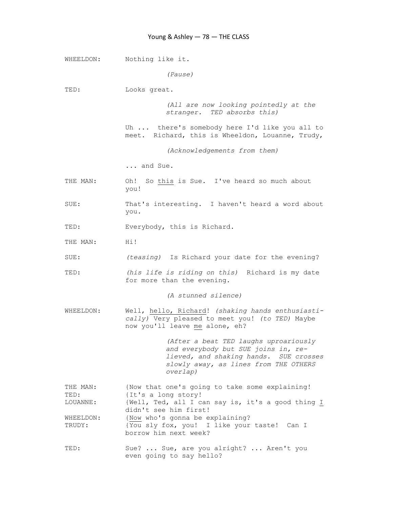WHEELDON: Nothing like it. (Pause) TED: Looks great. (All are now looking pointedly at the stranger. TED absorbs this) Uh ... there's somebody here I'd like you all to meet. Richard, this is Wheeldon, Louanne, Trudy, (Acknowledgements from them) ... and Sue. THE MAN: Oh! So this is Sue. I've heard so much about you! SUE: That's interesting. I haven't heard a word about you. TED: Everybody, this is Richard. THE MAN: Hi! SUE: (teasing) Is Richard your date for the evening? TED: (his life is riding on this) Richard is my date for more than the evening. (A stunned silence) WHEELDON: Well, hello, Richard! (shaking hands enthusiasti cally) Very pleased to meet you! (to TED) Maybe now you'll leave me alone, eh? (After a beat TED laughs uproariously and everybody but SUE joins in, re lieved, and shaking hands. SUE crosses slowly away, as lines from THE OTHERS overlap) THE MAN: (Now that one's going to take some explaining! TED: {It's a long story! LOUANNE: {Well, Ted, all I can say is, it's a good thing I didn't see him first!<br>WHEELDON: {Now who's gonna be e {Now who's gonna be explaining? TRUDY: {You sly fox, you! I like your taste! Can I borrow him next week? TED: Sue? ... Sue, are you alright? ... Aren't you even going to say hello?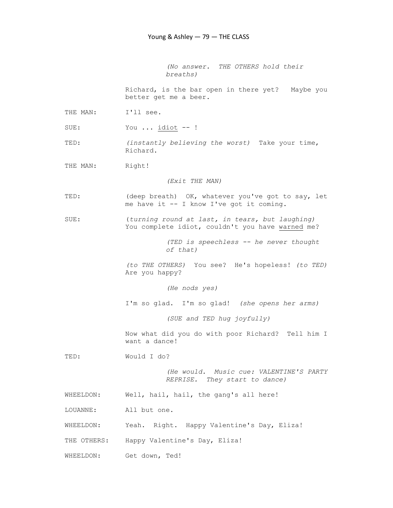(No answer. THE OTHERS hold their breaths)

 Richard, is the bar open in there yet? Maybe you better get me a beer.

THE MAN: I'll see.

SUE: You ... idiot -- !

TED: (instantly believing the worst) Take your time, Richard.

THE MAN: Right!

(Exit THE MAN)

- TED: (deep breath) OK, whatever you've got to say, let me have it -- I know I've got it coming.
- SUE: (turning round at last, in tears, but laughing) You complete idiot, couldn't you have warned me?

 (TED is speechless -- he never thought of that)

 (to THE OTHERS) You see? He's hopeless! (to TED) Are you happy?

(He nods yes)

I'm so glad. I'm so glad! (she opens her arms)

(SUE and TED hug joyfully)

 Now what did you do with poor Richard? Tell him I want a dance!

TED: Would I do?

 (He would. Music cue: VALENTINE'S PARTY REPRISE. They start to dance)

WHEELDON: Well, hail, hail, the gang's all here!

LOUANNE: All but one.

WHEELDON: Yeah. Right. Happy Valentine's Day, Eliza!

THE OTHERS: Happy Valentine's Day, Eliza!

WHEELDON: Get down, Ted!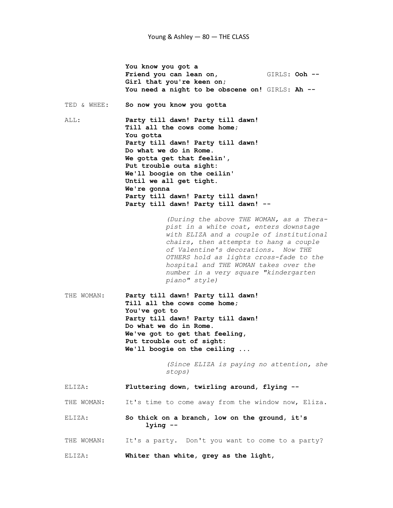You know you got a Friend you can lean on, GIRLS: Ooh -- Girl that you're keen on; You need a night to be obscene on! GIRLS: Ah --TED & WHEE: So now you know you gotta ALL: Party till dawn! Party till dawn! Till all the cows come home; You gotta Party till dawn! Party till dawn! Do what we do in Rome. We gotta get that feelin', Put trouble outa sight: We'll boogie on the ceilin' Until we all get tight. We're gonna Party till dawn! Party till dawn! Party till dawn! Party till dawn! -- (During the above THE WOMAN, as a Thera pist in a white coat, enters downstage with ELIZA and a couple of institutional chairs, then attempts to hang a couple of Valentine's decorations. Now THE OTHERS hold as lights cross-fade to the hospital and THE WOMAN takes over the number in a very square "kindergarten piano" style) THE WOMAN: Party till dawn! Party till dawn! Till all the cows come home; You've got to Party till dawn! Party till dawn! Do what we do in Rome. We've got to get that feeling, Put trouble out of sight: We'll boogie on the ceiling ... (Since ELIZA is paying no attention, she stops) ELIZA: Fluttering down, twirling around, flying -- THE WOMAN: It's time to come away from the window now, Eliza. ELIZA: So thick on a branch, low on the ground, it's lying -- THE WOMAN: It's a party. Don't you want to come to a party? ELIZA: Whiter than white, grey as the light,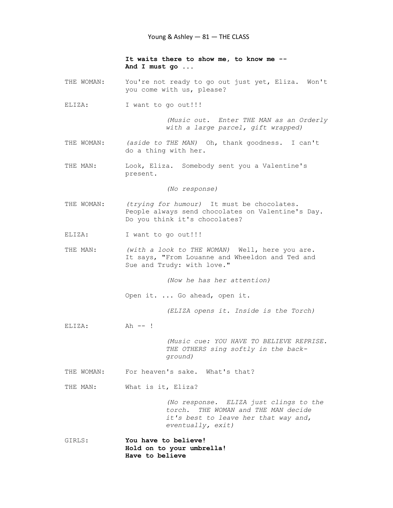It waits there to show me, to know me -- And I must go ...

- THE WOMAN: You're not ready to go out just yet, Eliza. Won't you come with us, please?
- ELIZA: I want to go out!!!

 (Music out. Enter THE MAN as an Orderly with a large parcel, gift wrapped)

- THE WOMAN: (aside to THE MAN) Oh, thank goodness. I can't do a thing with her.
- THE MAN: Look, Eliza. Somebody sent you a Valentine's present.

(No response)

- THE WOMAN: (trying for humour) It must be chocolates. People always send chocolates on Valentine's Day. Do you think it's chocolates?
- ELIZA: I want to go out!!!
- THE MAN: (with a look to THE WOMAN) Well, here you are. It says, "From Louanne and Wheeldon and Ted and Sue and Trudy: with love."

(Now he has her attention)

Open it. ... Go ahead, open it.

(ELIZA opens it. Inside is the Torch)

ELIZA: Ah --!

 (Music cue: YOU HAVE TO BELIEVE REPRISE. THE OTHERS sing softly in the background)

THE WOMAN: For heaven's sake. What's that?

THE MAN: What is it, Eliza?

 (No response. ELIZA just clings to the torch. THE WOMAN and THE MAN decide it's best to leave her that way and, eventually, exit)

GIRLS: You have to believe! Hold on to your umbrella! Have to believe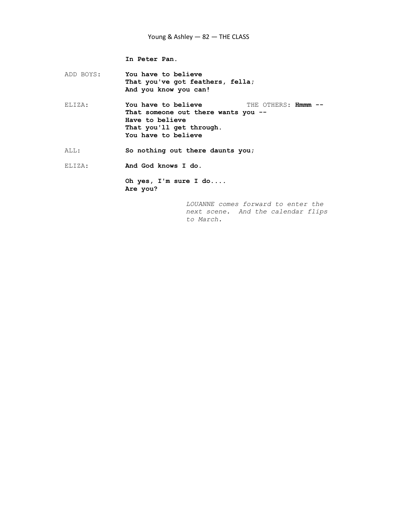# Young & Ashley — 82 — THE CLASS

In Peter Pan.

ADD BOYS: You have to believe That you've got feathers, fella; And you know you can!

ELIZA: You have to believe THE OTHERS: Hmmm -- That someone out there wants you -- Have to believe That you'll get through. You have to believe

ALL: So nothing out there daunts you;

ELIZA: And God knows I do.

 Oh yes, I'm sure I do.... Are you?

> LOUANNE comes forward to enter the next scene. And the calendar flips to March.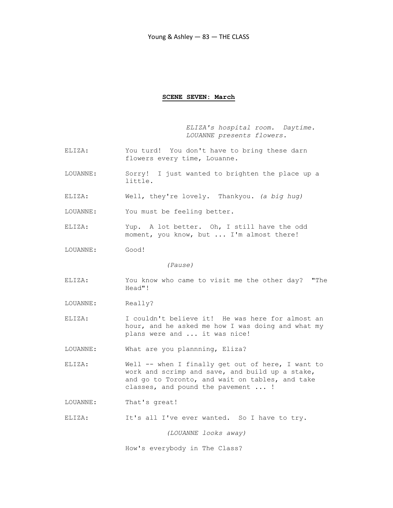### SCENE SEVEN: March

 ELIZA's hospital room. Daytime. LOUANNE presents flowers.

- ELIZA: You turd! You don't have to bring these darn flowers every time, Louanne.
- LOUANNE: Sorry! I just wanted to brighten the place up a little.
- ELIZA: Well, they're lovely. Thankyou. (a big hug)
- LOUANNE: You must be feeling better.
- ELIZA: Yup. A lot better. Oh, I still have the odd moment, you know, but ... I'm almost there!
- LOUANNE: Good!

(Pause)

- ELIZA: You know who came to visit me the other day? "The Head"!
- LOUANNE: Really?
- ELIZA: I couldn't believe it! He was here for almost an hour, and he asked me how I was doing and what my plans were and ... it was nice!
- LOUANNE: What are you plannning, Eliza?
- ELIZA: Well -- when I finally get out of here, I want to work and scrimp and save, and build up a stake, and go to Toronto, and wait on tables, and take classes, and pound the pavement ... !
- LOUANNE: That's great!
- ELIZA: It's all I've ever wanted. So I have to try.

(LOUANNE looks away)

How's everybody in The Class?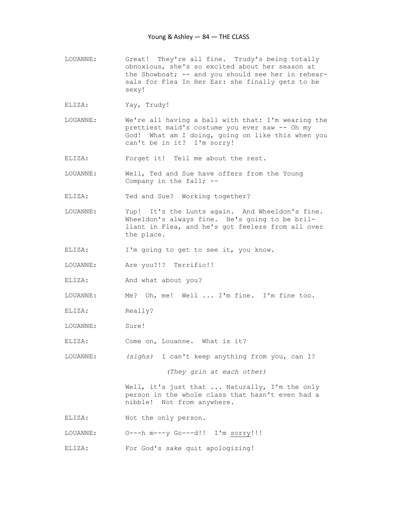- LOUANNE: Great! They're all fine. Trudy's being totally obnoxious, she's so excited about her season at the Showboat; -- and you should see her in rehear sals for Flea In Her Ear: she finally gets to be sexy!
- ELIZA: Yay, Trudy!
- LOUANNE: We're all having a ball with that: I'm wearing the prettiest maid's costume you ever saw -- Oh my God! What am I doing, going on like this when you can't be in it? I'm sorry!

ELIZA: Forget it! Tell me about the rest.

LOUANNE: Well, Ted and Sue have offers from the Young Company in the fall; --

ELIZA: Ted and Sue? Working together?

- LOUANNE: Yup! It's the Lunts again. And Wheeldon's fine. Wheeldon's always fine. He's going to be bril liant in Flea, and he's got feelers from all over the place.
- ELIZA: I'm going to get to see it, you know.
- LOUANNE: Are you?!? Terrific!!
- ELIZA: And what about you?
- LOUANNE: Me? Oh, me! Well ... I'm fine. I'm fine too.
- ELIZA: Really?
- LOUANNE: Sure!
- ELIZA: Come on, Louanne. What is it?

LOUANNE: (sighs) I can't keep anything from you, can I?

(They grin at each other)

Well, it's just that ... Naturally, I'm the only person in the whole class that hasn't even had a nibble! Not from anywhere.

- ELIZA: Not the only person.
- LOUANNE: O---h m---y Go---d!! I'm sorry!!!
- ELIZA: For God's sake quit apologizing!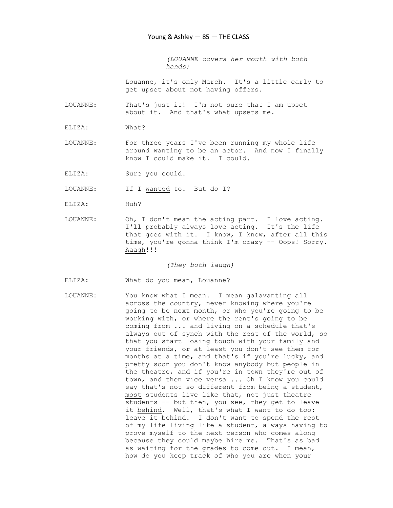(LOUANNE covers her mouth with both hands)

 Louanne, it's only March. It's a little early to get upset about not having offers.

LOUANNE: That's just it! I'm not sure that I am upset about it. And that's what upsets me.

ELIZA: What?

LOUANNE: For three years I've been running my whole life around wanting to be an actor. And now I finally know I could make it. I could.

ELIZA: Sure you could.

LOUANNE: If I wanted to. But do I?

- ELIZA: Huh?
- LOUANNE: Oh, I don't mean the acting part. I love acting. I'll probably always love acting. It's the life that goes with it. I know, I know, after all this time, you're gonna think I'm crazy -- Oops! Sorry. Aaagh!!!

(They both laugh)

- ELIZA: What do you mean, Louanne?
- LOUANNE: You know what I mean. I mean galavanting all across the country, never knowing where you're going to be next month, or who you're going to be working with, or where the rent's going to be coming from ... and living on a schedule that's always out of synch with the rest of the world, so that you start losing touch with your family and your friends, or at least you don't see them for months at a time, and that's if you're lucky, and pretty soon you don't know anybody but people in the theatre, and if you're in town they're out of town, and then vice versa ... Oh I know you could say that's not so different from being a student, most students live like that, not just theatre students -- but then, you see, they get to leave it behind. Well, that's what I want to do too: leave it behind. I don't want to spend the rest of my life living like a student, always having to prove myself to the next person who comes along because they could maybe hire me. That's as bad as waiting for the grades to come out. I mean, how do you keep track of who you are when your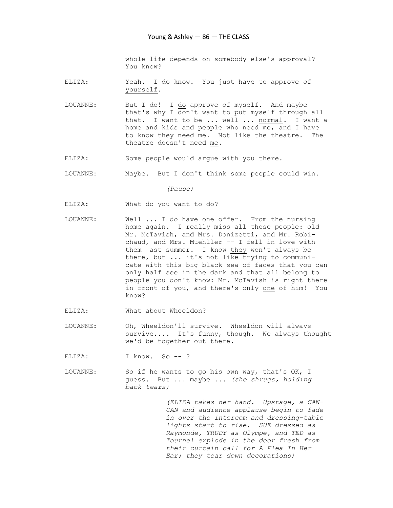whole life depends on somebody else's approval? You know?

- ELIZA: Yeah. I do know. You just have to approve of yourself.
- LOUANNE: But I do! I do approve of myself. And maybe that's why I don't want to put myself through all that. I want to be ... well ... normal. I want a home and kids and people who need me, and I have to know they need me. Not like the theatre. The theatre doesn't need me.
- ELIZA: Some people would argue with you there.
- LOUANNE: Maybe. But I don't think some people could win.

(Pause)

- ELIZA: What do you want to do?
- LOUANNE: Well ... I do have one offer. From the nursing home again. I really miss all those people: old Mr. McTavish, and Mrs. Donizetti, and Mr. Robi chaud, and Mrs. Muehller -- I fell in love with them ast summer. I know they won't always be there, but ... it's not like trying to communi cate with this big black sea of faces that you can only half see in the dark and that all belong to people you don't know: Mr. McTavish is right there in front of you, and there's only one of him! You know?
- ELIZA: What about Wheeldon?
- LOUANNE: Oh, Wheeldon'll survive. Wheeldon will always survive.... It's funny, though. We always thought we'd be together out there.
- ELIZA: I know. So --?
- LOUANNE: So if he wants to go his own way, that's OK, I guess. But ... maybe ... (she shrugs, holding back tears)

 (ELIZA takes her hand. Upstage, a CAN- CAN and audience applause begin to fade in over the intercom and dressing-table lights start to rise. SUE dressed as Raymonde, TRUDY as Olympe, and TED as Tournel explode in the door fresh from their curtain call for A Flea In Her Ear; they tear down decorations)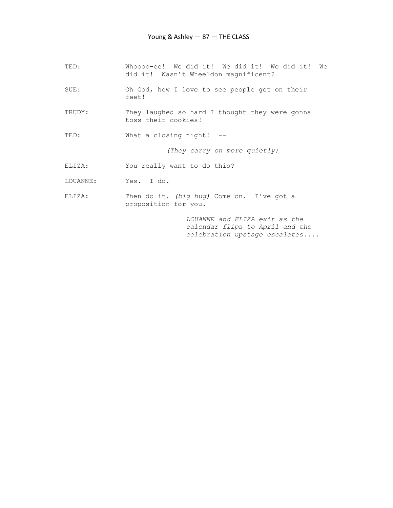| TED:     | Whoooo-ee! We did it! We did it! We did it!<br>We<br>did it! Wasn't Wheeldon magnificent? |
|----------|-------------------------------------------------------------------------------------------|
| SUE:     | Oh God, how I love to see people get on their<br>feet!                                    |
| TRUDY:   | They laughed so hard I thought they were gonna<br>toss their cookies!                     |
| TED:     | What a closing night! $-$                                                                 |
|          | (They carry on more quietly)                                                              |
| ELIZA:   | You really want to do this?                                                               |
| LOUANNE: | Yes. I do.                                                                                |
| ELIZA:   | Then do it. (big hug) Come on. I've got a<br>proposition for you.                         |

 LOUANNE and ELIZA exit as the calendar flips to April and the celebration upstage escalates....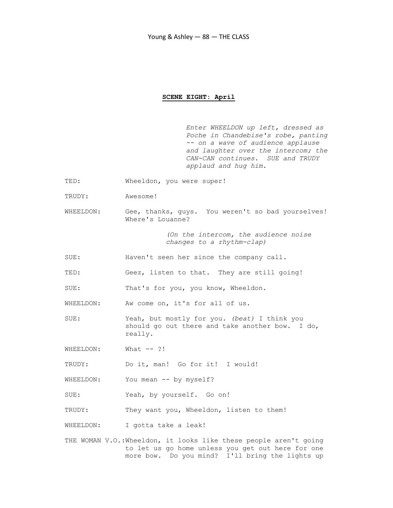### SCENE EIGHT: April

 Enter WHEELDON up left, dressed as Poche in Chandebise's robe, panting -- on a wave of audience applause and laughter over the intercom; the CAN-CAN continues. SUE and TRUDY applaud and hug him.

- TED: Wheeldon, you were super!
- TRUDY: Awesome!
- WHEELDON: Gee, thanks, guys. You weren't so bad yourselves! Where's Louanne?

 (On the intercom, the audience noise changes to a rhythm-clap)

- SUE: Haven't seen her since the company call.
- TED: Geez, listen to that. They are still going!

SUE: That's for you, you know, Wheeldon.

WHEELDON: Aw come on, it's for all of us.

SUE: Yeah, but mostly for you. (beat) I think you should go out there and take another bow. I do, really.

WHEELDON: What --?!

TRUDY: Do it, man! Go for it! I would!

- WHEELDON: You mean -- by myself?
- SUE: Yeah, by yourself. Go on!

TRUDY: They want you, Wheeldon, listen to them!

WHEELDON: I gotta take a leak!

THE WOMAN V.O.:Wheeldon, it looks like these people aren't going to let us go home unless you get out here for one more bow. Do you mind? I'll bring the lights up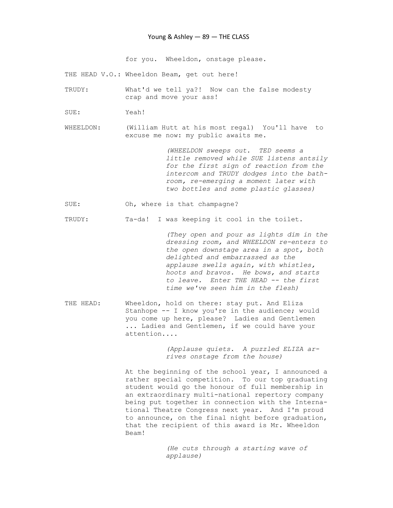### Young & Ashley — 89 — THE CLASS

for you. Wheeldon, onstage please.

THE HEAD V.O.: Wheeldon Beam, get out here!

- TRUDY: What'd we tell ya?! Now can the false modesty crap and move your ass!
- SUE: Yeah!

WHEELDON: (William Hutt at his most regal) You'll have to excuse me now: my public awaits me.

> (WHEELDON sweeps out. TED seems a little removed while SUE listens antsily for the first sign of reaction from the intercom and TRUDY dodges into the bath room, re-emerging a moment later with two bottles and some plastic glasses)

SUE: Oh, where is that champagne?

TRUDY: Ta-da! I was keeping it cool in the toilet.

 (They open and pour as lights dim in the dressing room, and WHEELDON re-enters to the open downstage area in a spot, both delighted and embarrassed as the applause swells again, with whistles, hoots and bravos. He bows, and starts to leave. Enter THE HEAD -- the first time we've seen him in the flesh)

THE HEAD: Wheeldon, hold on there: stay put. And Eliza Stanhope -- I know you're in the audience; would you come up here, please? Ladies and Gentlemen ... Ladies and Gentlemen, if we could have your attention....

> (Applause quiets. A puzzled ELIZA ar rives onstage from the house)

 At the beginning of the school year, I announced a rather special competition. To our top graduating student would go the honour of full membership in an extraordinary multi-national repertory company being put together in connection with the Interna tional Theatre Congress next year. And I'm proud to announce, on the final night before graduation, that the recipient of this award is Mr. Wheeldon Beam!

> (He cuts through a starting wave of applause)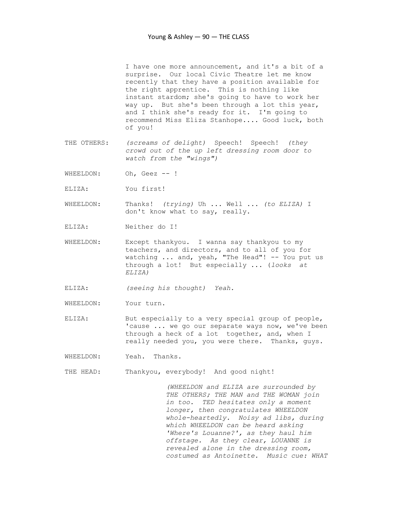I have one more announcement, and it's a bit of a surprise. Our local Civic Theatre let me know recently that they have a position available for the right apprentice. This is nothing like instant stardom; she's going to have to work her way up. But she's been through a lot this year, and I think she's ready for it. I'm going to recommend Miss Eliza Stanhope.... Good luck, both of you!

- THE OTHERS: (screams of delight) Speech! Speech! (they crowd out of the up left dressing room door to watch from the "wings")
- WHEELDON: Oh, Geez -- !
- ELIZA: You first!
- WHEELDON: Thanks! (trying) Uh ... Well ... (to ELIZA) I don't know what to say, really.
- ELIZA: Neither do I!
- WHEELDON: Except thankyou. I wanna say thankyou to my teachers, and directors, and to all of you for watching ... and, yeah, "The Head"! -- You put us through a lot! But especially ... (looks at ELIZA)
- ELIZA: (seeing his thought) Yeah.
- WHEELDON: Your turn.
- ELIZA: But especially to a very special group of people, 'cause ... we go our separate ways now, we've been through a heck of a lot together, and, when I really needed you, you were there. Thanks, guys.
- WHEELDON: Yeah. Thanks.
- THE HEAD: Thankyou, everybody! And good night!

 (WHEELDON and ELIZA are surrounded by THE OTHERS; THE MAN and THE WOMAN join in too. TED hesitates only a moment longer, then congratulates WHEELDON whole-heartedly. Noisy ad libs, during which WHEELDON can be heard asking 'Where's Louanne?', as they haul him offstage. As they clear, LOUANNE is revealed alone in the dressing room, costumed as Antoinette. Music cue: WHAT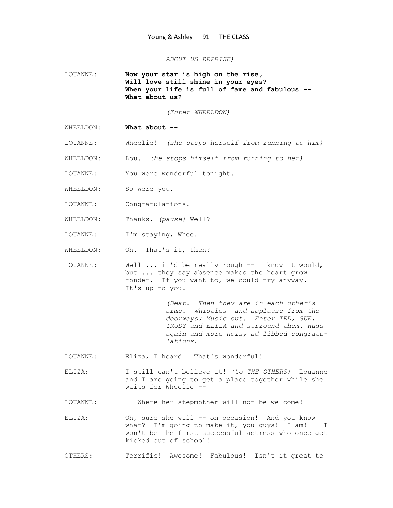ABOUT US REPRISE)

LOUANNE: Now your star is high on the rise, Will love still shine in your eyes? When your life is full of fame and fabulous --What about us?

(Enter WHEELDON)

- WHEELDON: What about --
- LOUANNE: Wheelie! (she stops herself from running to him)
- WHEELDON: Lou. (he stops himself from running to her)
- LOUANNE: You were wonderful tonight.
- WHEELDON: So were you.
- LOUANNE: Congratulations.
- WHEELDON: Thanks. (pause) Well?
- LOUANNE: I'm staying, Whee.
- WHEELDON: Oh. That's it, then?
- LOUANNE: Well ... it'd be really rough -- I know it would, but ... they say absence makes the heart grow fonder. If you want to, we could try anyway. It's up to you.

 (Beat. Then they are in each other's arms. Whistles and applause from the doorways; Music out. Enter TED, SUE, TRUDY and ELIZA and surround them. Hugs again and more noisy ad libbed congratu lations)

- LOUANNE: Eliza, I heard! That's wonderful!
- ELIZA: I still can't believe it! (to THE OTHERS) Louanne and I are going to get a place together while she waits for Wheelie --
- LOUANNE: -- Where her stepmother will not be welcome!
- ELIZA: Oh, sure she will -- on occasion! And you know what? I'm going to make it, you guys! I am! -- I won't be the first successful actress who once got kicked out of school!

OTHERS: Terrific! Awesome! Fabulous! Isn't it great to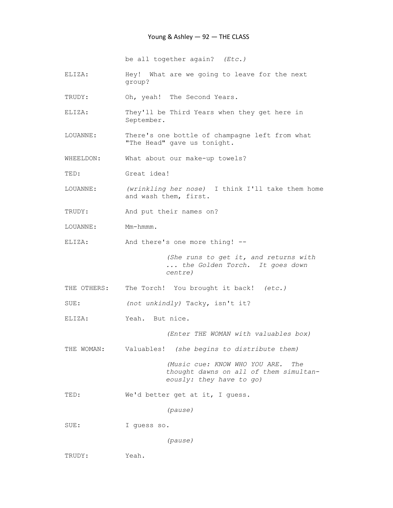be all together again? (Etc.)

- ELIZA: Hey! What are we going to leave for the next group?
- TRUDY: Oh, yeah! The Second Years.
- ELIZA: They'll be Third Years when they get here in September.
- LOUANNE: There's one bottle of champagne left from what "The Head" gave us tonight.

WHEELDON: What about our make-up towels?

TED: Great idea!

- LOUANNE: (wrinkling her nose) I think I'll take them home and wash them, first.
- TRUDY: And put their names on?
- LOUANNE: Mm-hmmm.
- ELIZA: And there's one more thing! --

 (She runs to get it, and returns with ... the Golden Torch. It goes down centre)

THE OTHERS: The Torch! You brought it back! (etc.)

SUE: (not unkindly) Tacky, isn't it?

ELIZA: Yeah. But nice.

(Enter THE WOMAN with valuables box)

THE WOMAN: Valuables! (she begins to distribute them)

 (Music cue: KNOW WHO YOU ARE. The thought dawns on all of them simultan eously: they have to go)

TED: We'd better get at it, I guess.

(pause)

SUE: I guess so.

(pause)

TRUDY: Yeah.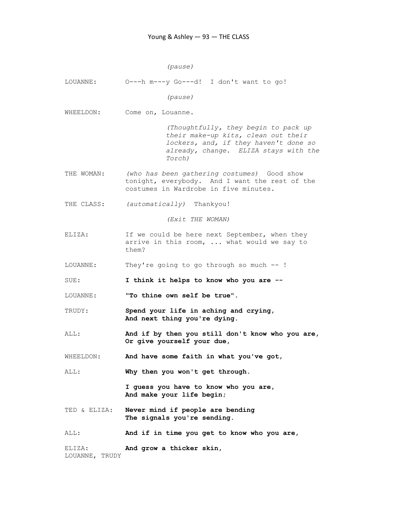(pause)

LOUANNE: O---h m---y Go---d! I don't want to go! (pause) WHEELDON: Come on, Louanne. (Thoughtfully, they begin to pack up their make-up kits, clean out their lockers, and, if they haven't done so already, change. ELIZA stays with the Torch) THE WOMAN: (who has been gathering costumes) Good show tonight, everybody. And I want the rest of the costumes in Wardrobe in five minutes. THE CLASS: (automatically) Thankyou! (Exit THE WOMAN) ELIZA: If we could be here next September, when they arrive in this room, ... what would we say to them? LOUANNE: They're going to go through so much -- ! SUE: I think it helps to know who you are --LOUANNE: "To thine own self be true". TRUDY: Spend your life in aching and crying, And next thing you're dying. ALL: And if by then you still don't know who you are, Or give yourself your due, WHEELDON: And have some faith in what you've got, ALL: Why then you won't get through. I guess you have to know who you are, And make your life begin; TED & ELIZA: Never mind if people are bending The signals you're sending. ALL: And if in time you get to know who you are, ELIZA: And grow a thicker skin, LOUANNE, TRUDY